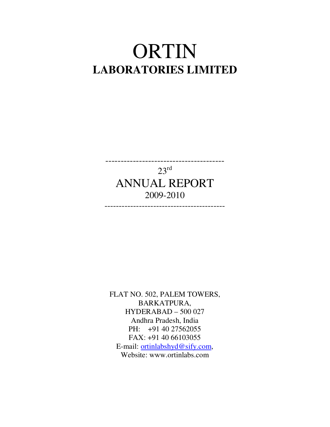# ORTIN **LABORATORIES LIMITED**

---------------------------------------  $23<sup>rd</sup>$ ANNUAL REPORT 2009-2010

------------------------------------------

FLAT NO. 502, PALEM TOWERS, BARKATPURA, HYDERABAD – 500 027 Andhra Pradesh, India PH: +91 40 27562055 FAX: +91 40 66103055 E-mail: ortinlabshyd@sify.com, Website: www.ortinlabs.com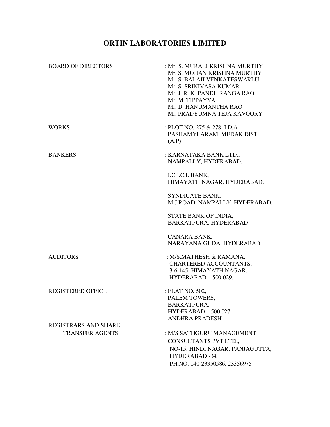# **ORTIN LABORATORIES LIMITED**

| <b>BOARD OF DIRECTORS</b>   | : Mr. S. MURALI KRISHNA MURTHY<br>Mr. S. MOHAN KRISHNA MURTHY<br>Mr. S. BALAJI VENKATESWARLU<br>Mr. S. SRINIVASA KUMAR<br>Mr. J. R. K. PANDU RANGA RAO<br>Mr. M. TIPPAYYA<br>Mr. D. HANUMANTHA RAO<br>Mr. PRADYUMNA TEJA KAVOORY |
|-----------------------------|----------------------------------------------------------------------------------------------------------------------------------------------------------------------------------------------------------------------------------|
| <b>WORKS</b>                | : PLOT NO. 275 & 278, I.D.A<br>PASHAMYLARAM, MEDAK DIST.<br>(A.P)                                                                                                                                                                |
| <b>BANKERS</b>              | : KARNATAKA BANK LTD.,<br>NAMPALLY, HYDERABAD.                                                                                                                                                                                   |
|                             | I.C.I.C.I. BANK,<br>HIMAYATH NAGAR, HYDERABAD.                                                                                                                                                                                   |
|                             | SYNDICATE BANK,<br>M.J.ROAD, NAMPALLY, HYDERABAD.                                                                                                                                                                                |
|                             | STATE BANK OF INDIA,<br>BARKATPURA, HYDERABAD                                                                                                                                                                                    |
|                             | CANARA BANK,<br>NARAYANA GUDA, HYDERABAD                                                                                                                                                                                         |
| <b>AUDITORS</b>             | : M/S.MATHESH & RAMANA,<br>CHARTERED ACCOUNTANTS,<br>3-6-145, HIMAYATH NAGAR,<br>$HYDERABAD - 500029.$                                                                                                                           |
| <b>REGISTERED OFFICE</b>    | : FLAT NO. 502,<br>PALEM TOWERS,<br>BARKATPURA,<br>$HYDERABAD - 500027$<br><b>ANDHRA PRADESH</b>                                                                                                                                 |
| <b>REGISTRARS AND SHARE</b> |                                                                                                                                                                                                                                  |
| <b>TRANSFER AGENTS</b>      | : M/S SATHGURU MANAGEMENT                                                                                                                                                                                                        |
|                             | CONSULTANTS PVT LTD.,                                                                                                                                                                                                            |
|                             | NO-15, HINDI NAGAR, PANJAGUTTA,<br>HYDERABAD -34.                                                                                                                                                                                |
|                             | PH.NO. 040-23350586, 23356975                                                                                                                                                                                                    |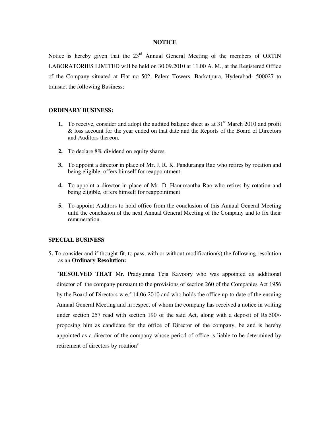#### **NOTICE**

Notice is hereby given that the  $23<sup>rd</sup>$  Annual General Meeting of the members of ORTIN LABORATORIES LIMITED will be held on 30.09.2010 at 11.00 A. M., at the Registered Office of the Company situated at Flat no 502, Palem Towers, Barkatpura, Hyderabad- 500027 to transact the following Business:

#### **ORDINARY BUSINESS:**

- **1.** To receive, consider and adopt the audited balance sheet as at  $31<sup>st</sup>$  March 2010 and profit & loss account for the year ended on that date and the Reports of the Board of Directors and Auditors thereon.
- **2.** To declare 8% dividend on equity shares.
- **3.** To appoint a director in place of Mr. J. R. K. Panduranga Rao who retires by rotation and being eligible, offers himself for reappointment.
- **4.** To appoint a director in place of Mr. D. Hanumantha Rao who retires by rotation and being eligible, offers himself for reappointment
- **5.** To appoint Auditors to hold office from the conclusion of this Annual General Meeting until the conclusion of the next Annual General Meeting of the Company and to fix their remuneration.

#### **SPECIAL BUSINESS**

5**.** To consider and if thought fit, to pass, with or without modification(s) the following resolution as an **Ordinary Resolution:** 

"**RESOLVED THAT** Mr. Pradyumna Teja Kavoory who was appointed as additional director of the company pursuant to the provisions of section 260 of the Companies Act 1956 by the Board of Directors w.e.f 14.06.2010 and who holds the office up-to date of the ensuing Annual General Meeting and in respect of whom the company has received a notice in writing under section 257 read with section 190 of the said Act, along with a deposit of Rs.500/ proposing him as candidate for the office of Director of the company, be and is hereby appointed as a director of the company whose period of office is liable to be determined by retirement of directors by rotation"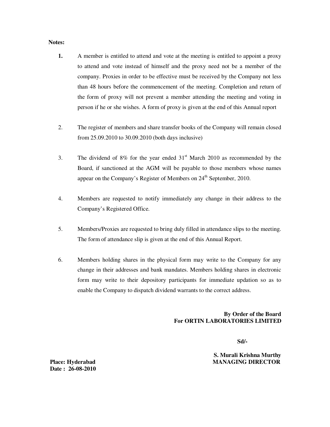#### **Notes:**

- **1.** A member is entitled to attend and vote at the meeting is entitled to appoint a proxy to attend and vote instead of himself and the proxy need not be a member of the company. Proxies in order to be effective must be received by the Company not less than 48 hours before the commencement of the meeting. Completion and return of the form of proxy will not prevent a member attending the meeting and voting in person if he or she wishes. A form of proxy is given at the end of this Annual report
- 2. The register of members and share transfer books of the Company will remain closed from 25.09.2010 to 30.09.2010 (both days inclusive)
- 3. The dividend of 8% for the year ended  $31<sup>st</sup>$  March 2010 as recommended by the Board, if sanctioned at the AGM will be payable to those members whose names appear on the Company's Register of Members on  $24<sup>th</sup>$  September, 2010.
- 4. Members are requested to notify immediately any change in their address to the Company's Registered Office.
- 5. Members/Proxies are requested to bring duly filled in attendance slips to the meeting. The form of attendance slip is given at the end of this Annual Report.
- 6. Members holding shares in the physical form may write to the Company for any change in their addresses and bank mandates. Members holding shares in electronic form may write to their depository participants for immediate updation so as to enable the Company to dispatch dividend warrants to the correct address.

#### **By Order of the Board For ORTIN LABORATORIES LIMITED**

 **Sd/-** 

**S. Murali Krishna Murthy Place: Hyderabad MANAGING DIRECTOR** 

 **Date : 26-08-2010**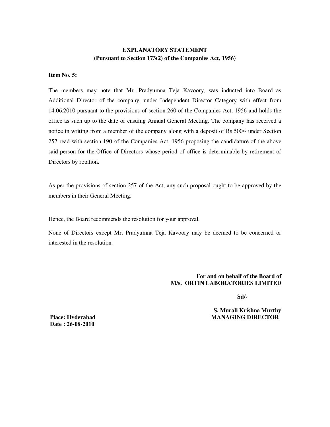# **EXPLANATORY STATEMENT (Pursuant to Section 173(2) of the Companies Act, 1956)**

#### **Item No. 5:**

The members may note that Mr. Pradyumna Teja Kavoory, was inducted into Board as Additional Director of the company, under Independent Director Category with effect from 14.06.2010 pursuant to the provisions of section 260 of the Companies Act, 1956 and holds the office as such up to the date of ensuing Annual General Meeting. The company has received a notice in writing from a member of the company along with a deposit of Rs.500/- under Section 257 read with section 190 of the Companies Act, 1956 proposing the candidature of the above said person for the Office of Directors whose period of office is determinable by retirement of Directors by rotation.

As per the provisions of section 257 of the Act, any such proposal ought to be approved by the members in their General Meeting.

Hence, the Board recommends the resolution for your approval.

None of Directors except Mr. Pradyumna Teja Kavoory may be deemed to be concerned or interested in the resolution.

> **For and on behalf of the Board of M/s. ORTIN LABORATORIES LIMITED**

 **Sd/-** 

**S. Murali Krishna Murthy Place: Hyderabad MANAGING DIRECTOR** 

 **Date : 26-08-2010**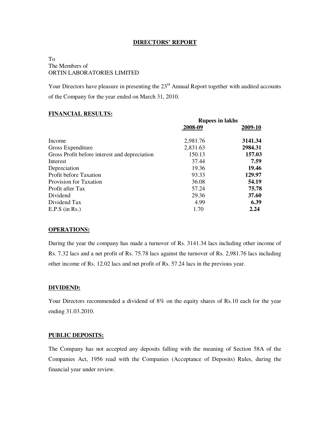#### **DIRECTORS' REPORT**

## To The Members of ORTIN LABORATORIES LIMITED

Your Directors have pleasure in presenting the 23<sup>rd</sup> Annual Report together with audited accounts of the Company for the year ended on March 31, 2010.

#### **FINANCIAL RESULTS:**

|                                               | <b>Rupees in lakhs</b> |         |
|-----------------------------------------------|------------------------|---------|
|                                               | 2008-09                | 2009-10 |
| Income                                        | 2,981.76               | 3141.34 |
| Gross Expenditure                             | 2,831.63               | 2984.31 |
| Gross Profit before interest and depreciation | 150.13                 | 157.03  |
| Interest                                      | 37.44                  | 7.59    |
| Depreciation                                  | 19.36                  | 19.46   |
| <b>Profit before Taxation</b>                 | 93.33                  | 129.97  |
| Provision for Taxation                        | 36.08                  | 54.19   |
| Profit after Tax                              | 57.24                  | 75.78   |
| Dividend                                      | 29.36                  | 37.60   |
| Dividend Tax                                  | 4.99                   | 6.39    |
| $E.P.S$ (in Rs.)                              | 1.70                   | 2.24    |

#### **OPERATIONS:**

During the year the company has made a turnover of Rs. 3141.34 lacs including other income of Rs. 7.32 lacs and a net profit of Rs. 75.78 lacs against the turnover of Rs. 2,981.76 lacs including other income of Rs. 12.02 lacs and net profit of Rs. 57.24 lacs in the previous year.

#### **DIVIDEND:**

Your Directors recommended a dividend of 8% on the equity shares of Rs.10 each for the year ending 31.03.2010.

#### **PUBLIC DEPOSITS:**

The Company has not accepted any deposits falling with the meaning of Section 58A of the Companies Act, 1956 read with the Companies (Acceptance of Deposits) Rules, during the financial year under review.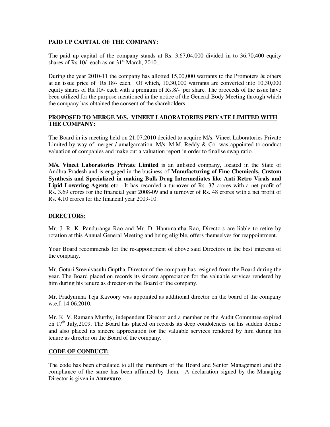## **PAID UP CAPITAL OF THE COMPANY**:

The paid up capital of the company stands at Rs. 3,67,04,000 divided in to 36,70,400 equity shares of Rs.10/- each as on  $31<sup>st</sup>$  March, 2010..

During the year 2010-11 the company has allotted 15,00,000 warrants to the Promoters & others at an issue price of Rs.18/- each. Of which, 10,30,000 warrants are converted into 10,30,000 equity shares of Rs.10/- each with a premium of Rs.8/- per share. The proceeds of the issue have been utilized for the purpose mentioned in the notice of the General Body Meeting through which the company has obtained the consent of the shareholders.

# **PROPOSED TO MERGE M/S. VINEET LABORATORIES PRIVATE LIMITED WITH THE COMPANY:**

The Board in its meeting held on 21.07.2010 decided to acquire M/s. Vineet Laboratories Private Limited by way of merger / amalgamation. M/s. M.M. Reddy  $\&$  Co. was appointed to conduct valuation of companies and make out a valuation report in order to finalise swap ratio.

**M/s. Vineet Laboratories Private Limited** is an unlisted company, located in the State of Andhra Pradesh and is engaged in the business of **Manufacturing of Fine Chemicals, Custom Synthesis and Specialized in making Bulk Drug Intermediates like Anti Retro Virals and Lipid Lowering Agents et**c. It has recorded a turnover of Rs. 37 crores with a net profit of Rs. 3.69 crores for the financial year 2008-09 and a turnover of Rs. 48 crores with a net profit of Rs. 4.10 crores for the financial year 2009-10.

# **DIRECTORS:**

Mr. J. R. K. Panduranga Rao and Mr. D. Hanumantha Rao, Directors are liable to retire by rotation at this Annual General Meeting and being eligible, offers themselves for reappointment.

Your Board recommends for the re-appointment of above said Directors in the best interests of the company.

Mr. Goturi Sreenivasulu Guptha, Director of the company has resigned from the Board during the year. The Board placed on records its sincere appreciation for the valuable services rendered by him during his tenure as director on the Board of the company.

Mr. Pradyumna Teja Kavoory was appointed as additional director on the board of the company w.e.f. 14.06.2010.

Mr. K. V. Ramana Murthy, independent Director and a member on the Audit Committee expired on  $17<sup>th</sup>$  July, 2009. The Board has placed on records its deep condolences on his sudden demise and also placed its sincere appreciation for the valuable services rendered by him during his tenure as director on the Board of the company.

# **CODE OF CONDUCT:**

The code has been circulated to all the members of the Board and Senior Management and the compliance of the same has been affirmed by them. A declaration signed by the Managing Director is given in **Annexure**.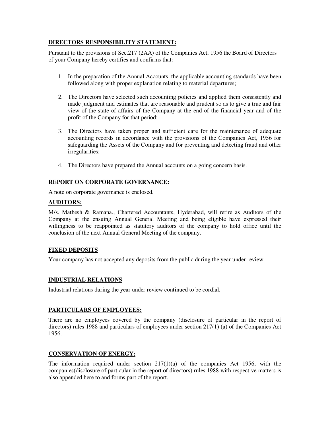# **DIRECTORS RESPONSIBILITY STATEMENT:**

Pursuant to the provisions of Sec.217 (2AA) of the Companies Act, 1956 the Board of Directors of your Company hereby certifies and confirms that:

- 1. In the preparation of the Annual Accounts, the applicable accounting standards have been followed along with proper explanation relating to material departures;
- 2. The Directors have selected such accounting policies and applied them consistently and made judgment and estimates that are reasonable and prudent so as to give a true and fair view of the state of affairs of the Company at the end of the financial year and of the profit of the Company for that period;
- 3. The Directors have taken proper and sufficient care for the maintenance of adequate accounting records in accordance with the provisions of the Companies Act, 1956 for safeguarding the Assets of the Company and for preventing and detecting fraud and other irregularities;
- 4. The Directors have prepared the Annual accounts on a going concern basis.

# **REPORT ON CORPORATE GOVERNANCE:**

A note on corporate governance is enclosed.

#### **AUDITORS:**

M/s. Mathesh & Ramana., Chartered Accountants, Hyderabad, will retire as Auditors of the Company at the ensuing Annual General Meeting and being eligible have expressed their willingness to be reappointed as statutory auditors of the company to hold office until the conclusion of the next Annual General Meeting of the company.

#### **FIXED DEPOSITS**

Your company has not accepted any deposits from the public during the year under review.

#### **INDUSTRIAL RELATIONS**

Industrial relations during the year under review continued to be cordial.

#### **PARTICULARS OF EMPLOYEES:**

There are no employees covered by the company (disclosure of particular in the report of directors) rules 1988 and particulars of employees under section 217(1) (a) of the Companies Act 1956.

#### **CONSERVATION OF ENERGY:**

The information required under section  $217(1)(a)$  of the companies Act 1956, with the companies(disclosure of particular in the report of directors) rules 1988 with respective matters is also appended here to and forms part of the report.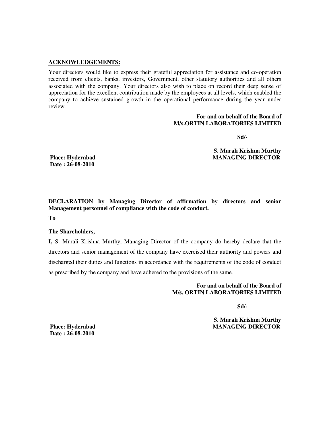#### **ACKNOWLEDGEMENTS:**

Your directors would like to express their grateful appreciation for assistance and co-operation received from clients, banks, investors, Government, other statutory authorities and all others associated with the company. Your directors also wish to place on record their deep sense of appreciation for the excellent contribution made by the employees at all levels, which enabled the company to achieve sustained growth in the operational performance during the year under review.

#### **For and on behalf of the Board of M/s.ORTIN LABORATORIES LIMITED**

 **Sd/-** 

**S. Murali Krishna Murthy Place: Hyderabad MANAGING DIRECTOR** 

 **Date : 26-08-2010** 

**DECLARATION by Managing Director of affirmation by directors and senior Management personnel of compliance with the code of conduct.** 

**To** 

#### **The Shareholders,**

**I,** S. Murali Krishna Murthy, Managing Director of the company do hereby declare that the directors and senior management of the company have exercised their authority and powers and discharged their duties and functions in accordance with the requirements of the code of conduct as prescribed by the company and have adhered to the provisions of the same.

> **For and on behalf of the Board of M/s. ORTIN LABORATORIES LIMITED**

 **Sd/-** 

**S. Murali Krishna Murthy Place: Hyderabad MANAGING DIRECTOR** 

 **Date : 26-08-2010**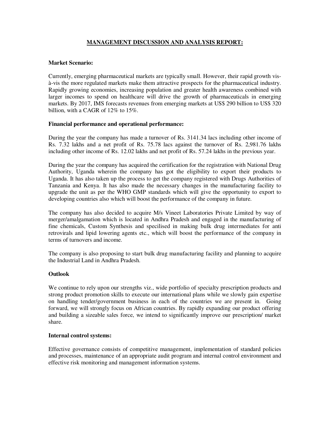## **MANAGEMENT DISCUSSION AND ANALYSIS REPORT:**

#### **Market Scenario:**

Currently, emerging pharmaceutical markets are typically small. However, their rapid growth visà-vis the more regulated markets make them attractive prospects for the pharmaceutical industry. Rapidly growing economies, increasing population and greater health awareness combined with larger incomes to spend on healthcare will drive the growth of pharmaceuticals in emerging markets. By 2017, IMS forecasts revenues from emerging markets at US\$ 290 billion to US\$ 320 billion, with a CAGR of 12% to 15%.

#### **Financial performance and operational performance:**

During the year the company has made a turnover of Rs. 3141.34 lacs including other income of Rs. 7.32 lakhs and a net profit of Rs. 75.78 lacs against the turnover of Rs. 2,981.76 lakhs including other income of Rs. 12.02 lakhs and net profit of Rs. 57.24 lakhs in the previous year.

During the year the company has acquired the certification for the registration with National Drug Authority, Uganda wherein the company has got the eligibility to export their products to Uganda. It has also taken up the process to get the company registered with Drugs Authorities of Tanzania and Kenya. It has also made the necessary changes in the manufacturing facility to upgrade the unit as per the WHO GMP standards which will give the opportunity to export to developing countries also which will boost the performance of the company in future.

The company has also decided to acquire M/s Vineet Laboratories Private Limited by way of merger/amalgamation which is located in Andhra Pradesh and engaged in the manufacturing of fine chemicals, Custom Synthesis and specilised in making bulk drug intermediates for anti retrovirals and lipid lowering agents etc., which will boost the performance of the company in terms of turnovers and income.

The company is also proposing to start bulk drug manufacturing facility and planning to acquire the Industrial Land in Andhra Pradesh.

#### **Outlook**

We continue to rely upon our strengths viz., wide portfolio of specialty prescription products and strong product promotion skills to execute our international plans while we slowly gain expertise on handling tender/government business in each of the countries we are present in. Going forward, we will strongly focus on African countries. By rapidly expanding our product offering and building a sizeable sales force, we intend to significantly improve our prescription/ market share.

#### **Internal control systems:**

Effective governance consists of competitive management, implementation of standard policies and processes, maintenance of an appropriate audit program and internal control environment and effective risk monitoring and management information systems.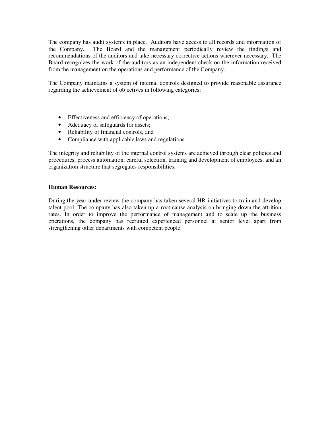The company has audit systems in place. Auditors have access to all records and information of the Company. The Board and the management periodically review the findings and recommendations of the auditors and take necessary corrective actions wherever necessary. The Board recognizes the work of the auditors as an independent check on the information received from the management on the operations and performance of the Company.

The Company maintains a system of internal controls designed to provide reasonable assurance regarding the achievement of objectives in following categories:

- Effectiveness and efficiency of operations;
- Adequacy of safeguards for assets;
- Reliability of financial controls, and
- Compliance with applicable laws and regulations

The integrity and reliability of the internal control systems are achieved through clear policies and procedures, process automation, careful selection, training and development of employees, and an organization structure that segregates responsibilities.

#### **Human Resources:**

During the year under review the company has taken several HR initiatives to train and develop talent pool. The company has also taken up a root cause analysis on bringing down the attrition rates. In order to improve the performance of management and to scale up the business operations, the company has recruited experienced personnel at senior level apart from strengthening other departments with competent people.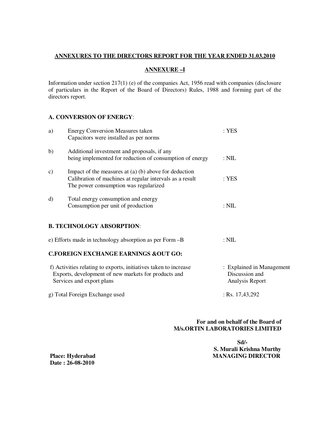### **ANNEXURES TO THE DIRECTORS REPORT FOR THE YEAR ENDED 31.03.2010**

# **ANNEXURE –I**

Information under section 217(1) (e) of the companies Act, 1956 read with companies (disclosure of particulars in the Report of the Board of Directors) Rules, 1988 and forming part of the directors report.

## **A. CONVERSION OF ENERGY**:

| a)            | <b>Energy Conversion Measures taken</b><br>Capacitors were installed as per norms                                                                              | : <b>YES</b>                                                   |
|---------------|----------------------------------------------------------------------------------------------------------------------------------------------------------------|----------------------------------------------------------------|
| b)            | Additional investment and proposals, if any<br>being implemented for reduction of consumption of energy                                                        | $:$ NIL                                                        |
| $\mathbf{c})$ | Impact of the measures at $(a)$ $(b)$ above for deduction<br>Calibration of machines at regular intervals as a result<br>The power consumption was regularized | : <b>YES</b>                                                   |
| d)            | Total energy consumption and energy<br>Consumption per unit of production                                                                                      | $:\mathrm{NIL}$                                                |
|               | <b>B. TECHNOLOGY ABSORPTION:</b>                                                                                                                               |                                                                |
|               | e) Efforts made in technology absorption as per Form -B                                                                                                        | $:\mathrm{NIL}$                                                |
|               | <b>C.FOREIGN EXCHANGE EARNINGS &amp;OUT GO:</b>                                                                                                                |                                                                |
|               | f) Activities relating to exports, initiatives taken to increase<br>Exports, development of new markets for products and<br>Services and export plans          | : Explained in Management<br>Discussion and<br>Analysis Report |
|               | g) Total Foreign Exchange used                                                                                                                                 | : Rs. $17,43,292$                                              |

## **For and on behalf of the Board of M/s.ORTIN LABORATORIES LIMITED**

 **Sd/- S. Murali Krishna Murthy Place: Hyderabad MANAGING DIRECTOR** 

 **Date : 26-08-2010**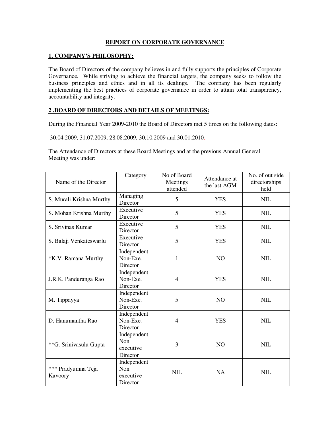# **REPORT ON CORPORATE GOVERNANCE**

## **1. COMPANY'S PHILOSOPHY:**

The Board of Directors of the company believes in and fully supports the principles of Corporate Governance. While striving to achieve the financial targets, the company seeks to follow the business principles and ethics and in all its dealings. The company has been regularly implementing the best practices of corporate governance in order to attain total transparency, accountability and integrity.

#### **2 .BOARD OF DIRECTORS AND DETAILS OF MEETINGS:**

During the Financial Year 2009-2010 the Board of Directors met 5 times on the following dates:

30.04.2009, 31.07.2009, 28.08.2009, 30.10.2009 and 30.01.2010.

The Attendance of Directors at these Board Meetings and at the previous Annual General Meeting was under:

| Name of the Director          | Category                                           | No of Board<br>Meetings<br>attended | Attendance at<br>the last AGM | No. of out side<br>directorships<br>held |
|-------------------------------|----------------------------------------------------|-------------------------------------|-------------------------------|------------------------------------------|
| S. Murali Krishna Murthy      | Managing<br>Director                               | 5                                   | <b>YES</b>                    | <b>NIL</b>                               |
| S. Mohan Krishna Murthy       | Executive<br>Director                              | 5                                   | <b>YES</b>                    | <b>NIL</b>                               |
| S. Srivinas Kumar             | Executive<br>Director                              | 5                                   | <b>YES</b>                    | <b>NIL</b>                               |
| S. Balaji Venkateswarlu       | Executive<br>Director                              | 5                                   | <b>YES</b>                    | <b>NIL</b>                               |
| *K.V. Ramana Murthy           | Independent<br>Non-Exe.<br>Director                | 1                                   | N <sub>O</sub>                | <b>NIL</b>                               |
| J.R.K. Panduranga Rao         | Independent<br>Non-Exe.<br>Director                | $\overline{4}$                      | <b>YES</b>                    | <b>NIL</b>                               |
| M. Tippayya                   | Independent<br>Non-Exe.<br>Director                | 5                                   | N <sub>O</sub>                | <b>NIL</b>                               |
| D. Hanumantha Rao             | Independent<br>Non-Exe.<br>Director                | $\overline{4}$                      | <b>YES</b>                    | <b>NIL</b>                               |
| **G. Srinivasulu Gupta        | Independent<br><b>Non</b><br>executive<br>Director | 3                                   | N <sub>O</sub>                | <b>NIL</b>                               |
| *** Pradyumna Teja<br>Kavoory | Independent<br><b>Non</b><br>executive<br>Director | <b>NIL</b>                          | <b>NA</b>                     | <b>NIL</b>                               |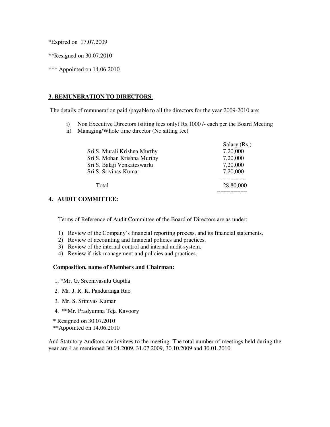\*Expired on 17.07.2009

\*\*Resigned on 30.07.2010

\*\*\* Appointed on 14.06.2010

#### **3. REMUNERATION TO DIRECTORS**:

The details of remuneration paid /payable to all the directors for the year 2009-2010 are:

- i) Non Executive Directors (sitting fees only) Rs.1000 /- each per the Board Meeting
- ii) Managing/Whole time director (No sitting fee)

|                              | Salary (Rs.) |
|------------------------------|--------------|
| Sri S. Murali Krishna Murthy | 7,20,000     |
| Sri S. Mohan Krishna Murthy  | 7,20,000     |
| Sri S. Balaji Venkateswarlu  | 7,20,000     |
| Sri S. Srivinas Kumar        | 7,20,000     |
|                              |              |
| Total                        | 28,80,000    |
|                              |              |
|                              |              |

#### **4. AUDIT COMMITTEE:**

Terms of Reference of Audit Committee of the Board of Directors are as under:

- 1) Review of the Company's financial reporting process, and its financial statements.
- 2) Review of accounting and financial policies and practices.
- 3) Review of the internal control and internal audit system.
- 4) Review if risk management and policies and practices.

#### **Composition, name of Members and Chairman:**

- 1. \*Mr. G. Sreenivasulu Guptha
- 2. Mr. J. R. K. Panduranga Rao
- 3. Mr. S. Srinivas Kumar
- 4. \*\*Mr. Pradyumna Teja Kavoory
- \* Resigned on 30.07.2010
- \*\*Appointed on 14.06.2010

And Statutory Auditors are invitees to the meeting. The total number of meetings held during the year are 4 as mentioned 30.04.2009, 31.07.2009, 30.10.2009 and 30.01.2010.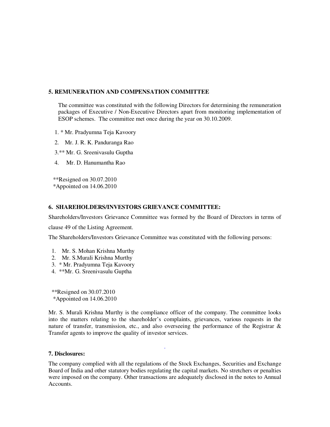#### **5. REMUNERATION AND COMPENSATION COMMITTEE**

The committee was constituted with the following Directors for determining the remuneration packages of Executive / Non-Executive Directors apart from monitoring implementation of ESOP schemes. The committee met once during the year on 30.10.2009.

1. \* Mr. Pradyumna Teja Kavoory

2. Mr. J. R. K. Panduranga Rao

3.\*\* Mr. G. Sreenivasulu Guptha

4. Mr. D. Hanumantha Rao

 \*\*Resigned on 30.07.2010 \*Appointed on 14.06.2010

#### **6. SHAREHOLDERS/INVESTORS GRIEVANCE COMMITTEE:**

Shareholders/Investors Grievance Committee was formed by the Board of Directors in terms of

clause 49 of the Listing Agreement.

The Shareholders/Investors Grievance Committee was constituted with the following persons:

- 1. Mr. S. Mohan Krishna Murthy
- 2. Mr. S.Murali Krishna Murthy
- 3. \* Mr. Pradyumna Teja Kavoory
- 4. \*\*Mr. G. Sreenivasulu Guptha

 \*\*Resigned on 30.07.2010 \*Appointed on 14.06.2010

Mr. S. Murali Krishna Murthy is the compliance officer of the company. The committee looks into the matters relating to the shareholder's complaints, grievances, various requests in the nature of transfer, transmission, etc., and also overseeing the performance of the Registrar & Transfer agents to improve the quality of investor services.

.

#### **7. Disclosures:**

The company complied with all the regulations of the Stock Exchanges, Securities and Exchange Board of India and other statutory bodies regulating the capital markets. No stretchers or penalties were imposed on the company. Other transactions are adequately disclosed in the notes to Annual Accounts.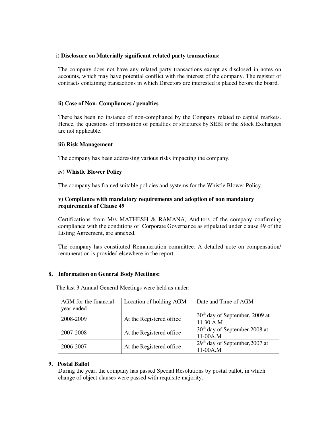#### i) **Disclosure on Materially significant related party transactions:**

The company does not have any related party transactions except as disclosed in notes on accounts, which may have potential conflict with the interest of the company. The register of contracts containing transactions in which Directors are interested is placed before the board.

#### **ii) Case of Non- Compliances / penalties**

There has been no instance of non-compliance by the Company related to capital markets. Hence, the questions of imposition of penalties or strictures by SEBI or the Stock Exchanges are not applicable.

#### **iii) Risk Management**

The company has been addressing various risks impacting the company.

#### **iv) Whistle Blower Policy**

The company has framed suitable policies and systems for the Whistle Blower Policy.

#### **v) Compliance with mandatory requirements and adoption of non mandatory requirements of Clause 49**

Certifications from M/s MATHESH & RAMANA, Auditors of the company confirming compliance with the conditions of Corporate Governance as stipulated under clause 49 of the Listing Agreement, are annexed.

The company has constituted Remuneration committee. A detailed note on compensation/ remuneration is provided elsewhere in the report.

#### **8. Information on General Body Meetings:**

The last 3 Annual General Meetings were held as under:

| AGM for the financial<br>year ended | Location of holding AGM  | Date and Time of AGM                           |
|-------------------------------------|--------------------------|------------------------------------------------|
| 2008-2009                           | At the Registered office | $30th$ day of September, 2009 at<br>11.30 A.M. |
| 2007-2008                           | At the Registered office | $30th$ day of September, 2008 at<br>$11-00A.M$ |
| 2006-2007                           | At the Registered office | $29th$ day of September, 2007 at<br>11-00A.M   |

#### **9. Postal Ballot**

During the year, the company has passed Special Resolutions by postal ballot, in which change of object clauses were passed with requisite majority.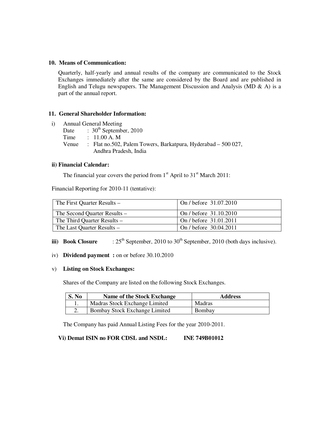#### **10. Means of Communication:**

Quarterly, half-yearly and annual results of the company are communicated to the Stock Exchanges immediately after the same are considered by the Board and are published in English and Telugu newspapers. The Management Discussion and Analysis (MD  $\&$  A) is a part of the annual report.

#### **11. General Shareholder Information:**

- *i*) Annual General Meeting
	- Date :  $30^{th}$  September, 2010<br>Time : 11.00 A. M
		- $: 11.00 A. M$
	- Venue : Flat no.502, Palem Towers, Barkatpura, Hyderabad 500 027, Andhra Pradesh, India

#### **ii) Financial Calendar:**

The financial year covers the period from  $1<sup>st</sup>$  April to  $31<sup>st</sup>$  March 2011:

Financial Reporting for 2010-11 (tentative):

| The First Quarter Results –  | On / before 31.07.2010 |
|------------------------------|------------------------|
| The Second Quarter Results – | On / before 31.10.2010 |
| The Third Quarter Results –  | On / before 31.01.2011 |
| The Last Quarter Results –   | On / before 30.04.2011 |

- **iii)** Book Closure  $: 25<sup>th</sup>$  September, 2010 to 30<sup>th</sup> September, 2010 (both days inclusive).
- iv) **Dividend payment :** on or before 30.10.2010

#### v) **Listing on Stock Exchanges:**

Shares of the Company are listed on the following Stock Exchanges.

| S. No | <b>Name of the Stock Exchange</b> | <b>Address</b> |
|-------|-----------------------------------|----------------|
|       | Madras Stock Exchange Limited     | Madras         |
|       | Bombay Stock Exchange Limited     | Bombay         |

The Company has paid Annual Listing Fees for the year 2010-2011.

**Vi) Demat ISIN no FOR CDSL and NSDL: INE 749B01012**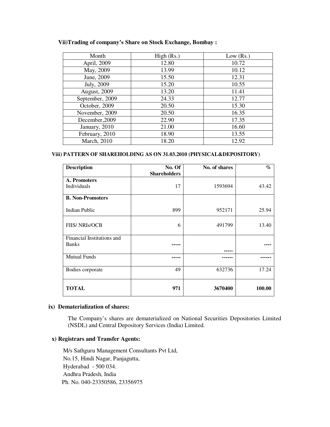#### **Vii)Trading of company's Share on Stock Exchange, Bombay :**

| Month           | High (Rs.) | Low $(Rs.)$ |
|-----------------|------------|-------------|
| April, 2009     | 12.80      | 10.72       |
| May, 2009       | 13.99      | 10.12       |
| June, 2009      | 15.50      | 12.31       |
| July, 2009      | 15.20      | 10.55       |
| August, 2009    | 13.20      | 11.41       |
| September, 2009 | 24.33      | 12.77       |
| October, 2009   | 20.50      | 15.30       |
| November, 2009  | 20.50      | 16.35       |
| December, 2009  | 22.90      | 17.35       |
| January, 2010   | 21.00      | 16.60       |
| February, 2010  | 18.90      | 13.55       |
| March, 2010     | 18.20      | 12.92       |

#### **Viii) PATTERN OF SHAREHOLDING AS ON 31.03.2010 (PHYSICAL&DEPOSITORY)**

| <b>Description</b>          | No. Of<br><b>Shareholders</b> | No. of shares | $\%$   |
|-----------------------------|-------------------------------|---------------|--------|
| A. Promoters<br>Individuals | 17                            | 1593694       | 43.42  |
| <b>B. Non-Promoters</b>     |                               |               |        |
| Indian Public               | 899                           | 952171        | 25.94  |
| <b>FIIS/ NRIs/OCB</b>       | 6                             | 491799        | 13.40  |
| Financial Institutions and  |                               |               |        |
| <b>Banks</b>                |                               |               |        |
| <b>Mutual Funds</b>         |                               |               |        |
| Bodies corporate            | 49                            | 632736        | 17.24  |
| <b>TOTAL</b>                | 971                           | 3670400       | 100.00 |

#### **ix) Dematerialization of shares:**

The Company's shares are dematerialized on National Securities Depositories Limited (NSDL) and Central Depository Services (India) Limited.

#### **x) Registrars and Transfer Agents:**

M/s Sathguru Management Consultants Pvt Ltd, No.15, Hindi Nagar, Panjagutta, Hyderabad - 500 034. Andhra Pradesh, India Ph. No. 040-23350586, 23356975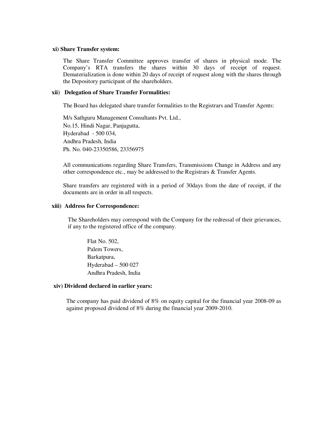#### **xi) Share Transfer system:**

The Share Transfer Committee approves transfer of shares in physical mode. The Company's RTA transfers the shares within 30 days of receipt of request. Dematerialization is done within 20 days of receipt of request along with the shares through the Depository participant of the shareholders.

#### **xii) Delegation of Share Transfer Formalities:**

The Board has delegated share transfer formalities to the Registrars and Transfer Agents:

M/s Sathguru Management Consultants Pvt. Ltd., No.15, Hindi Nagar, Panjagutta, Hyderabad - 500 034, Andhra Pradesh, India Ph. No. 040-23350586, 23356975

All communications regarding Share Transfers, Transmissions Change in Address and any other correspondence etc., may be addressed to the Registrars & Transfer Agents.

Share transfers are registered with in a period of 30days from the date of receipt, if the documents are in order in all respects.

#### **xiii) Address for Correspondence:**

The Shareholders may correspond with the Company for the redressal of their grievances, if any to the registered office of the company.

Flat No. 502, Palem Towers, Barkatpura, Hyderabad – 500 027 Andhra Pradesh, India

#### **xiv) Dividend declared in earlier years:**

The company has paid dividend of 8% on equity capital for the financial year 2008-09 as against proposed dividend of 8% during the financial year 2009-2010.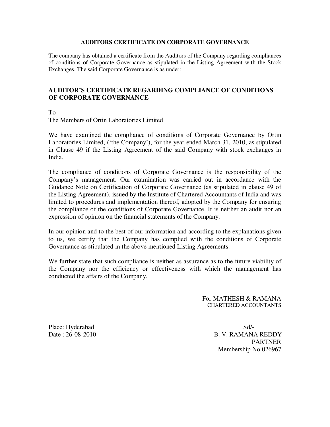#### **AUDITORS CERTIFICATE ON CORPORATE GOVERNANCE**

The company has obtained a certificate from the Auditors of the Company regarding compliances of conditions of Corporate Governance as stipulated in the Listing Agreement with the Stock Exchanges. The said Corporate Governance is as under:

# **AUDITOR'S CERTIFICATE REGARDING COMPLIANCE OF CONDITIONS OF CORPORATE GOVERNANCE**

To

The Members of Ortin Laboratories Limited

We have examined the compliance of conditions of Corporate Governance by Ortin Laboratories Limited, ('the Company'), for the year ended March 31, 2010, as stipulated in Clause 49 if the Listing Agreement of the said Company with stock exchanges in India.

The compliance of conditions of Corporate Governance is the responsibility of the Company's management. Our examination was carried out in accordance with the Guidance Note on Certification of Corporate Governance (as stipulated in clause 49 of the Listing Agreement), issued by the Institute of Chartered Accountants of India and was limited to procedures and implementation thereof, adopted by the Company for ensuring the compliance of the conditions of Corporate Governance. It is neither an audit nor an expression of opinion on the financial statements of the Company.

In our opinion and to the best of our information and according to the explanations given to us, we certify that the Company has complied with the conditions of Corporate Governance as stipulated in the above mentioned Listing Agreements.

We further state that such compliance is neither as assurance as to the future viability of the Company nor the efficiency or effectiveness with which the management has conducted the affairs of the Company.

> For MATHESH & RAMANA CHARTERED ACCOUNTANTS

Place: Hyderabad Sd/-

Date : 26-08-2010 B. V. RAMANA REDDY PARTNER Membership No.026967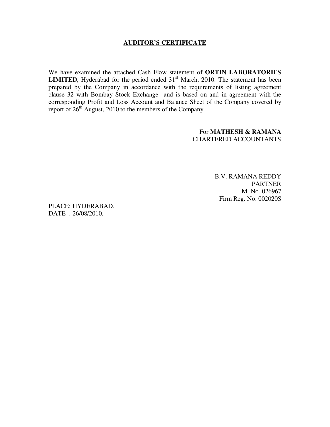# **AUDITOR'S CERTIFICATE**

We have examined the attached Cash Flow statement of **ORTIN LABORATORIES LIMITED**, Hyderabad for the period ended  $31<sup>st</sup>$  March, 2010. The statement has been prepared by the Company in accordance with the requirements of listing agreement clause 32 with Bombay Stock Exchange and is based on and in agreement with the corresponding Profit and Loss Account and Balance Sheet of the Company covered by report of  $26<sup>th</sup>$  August, 2010 to the members of the Company.

> For **MATHESH & RAMANA** CHARTERED ACCOUNTANTS

> > B.V. RAMANA REDDY PARTNER M. No. 026967 Firm Reg. No. 002020S

PLACE: HYDERABAD. DATE : 26/08/2010.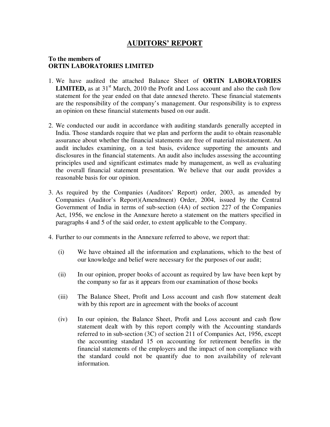# **AUDITORS' REPORT**

# **To the members of ORTIN LABORATORIES LIMITED**

- 1. We have audited the attached Balance Sheet of **ORTIN LABORATORIES LIMITED,** as at  $31<sup>st</sup>$  March, 2010 the Profit and Loss account and also the cash flow statement for the year ended on that date annexed thereto. These financial statements are the responsibility of the company's management. Our responsibility is to express an opinion on these financial statements based on our audit.
- 2. We conducted our audit in accordance with auditing standards generally accepted in India. Those standards require that we plan and perform the audit to obtain reasonable assurance about whether the financial statements are free of material misstatement. An audit includes examining, on a test basis, evidence supporting the amounts and disclosures in the financial statements. An audit also includes assessing the accounting principles used and significant estimates made by management, as well as evaluating the overall financial statement presentation. We believe that our audit provides a reasonable basis for our opinion.
- 3. As required by the Companies (Auditors' Report) order, 2003, as amended by Companies (Auditor's Report)(Amendment) Order, 2004, issued by the Central Government of India in terms of sub-section (4A) of section 227 of the Companies Act, 1956, we enclose in the Annexure hereto a statement on the matters specified in paragraphs 4 and 5 of the said order, to extent applicable to the Company.
- 4. Further to our comments in the Annexure referred to above, we report that:
	- (i) We have obtained all the information and explanations, which to the best of our knowledge and belief were necessary for the purposes of our audit;
	- (ii) In our opinion, proper books of account as required by law have been kept by the company so far as it appears from our examination of those books
	- (iii) The Balance Sheet, Profit and Loss account and cash flow statement dealt with by this report are in agreement with the books of account
	- (iv) In our opinion, the Balance Sheet, Profit and Loss account and cash flow statement dealt with by this report comply with the Accounting standards referred to in sub-section (3C) of section 211 of Companies Act, 1956, except the accounting standard 15 on accounting for retirement benefits in the financial statements of the employers and the impact of non compliance with the standard could not be quantify due to non availability of relevant information.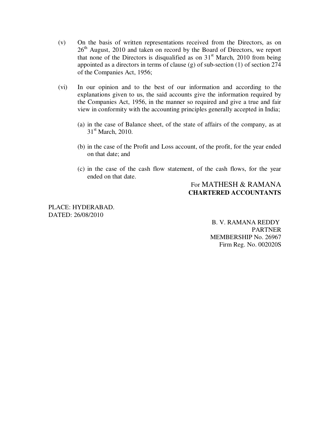- (v) On the basis of written representations received from the Directors, as on 26<sup>th</sup> August, 2010 and taken on record by the Board of Directors, we report that none of the Directors is disqualified as on  $31<sup>st</sup>$  March, 2010 from being appointed as a directors in terms of clause (g) of sub-section (1) of section 274 of the Companies Act, 1956;
- (vi) In our opinion and to the best of our information and according to the explanations given to us, the said accounts give the information required by the Companies Act, 1956, in the manner so required and give a true and fair view in conformity with the accounting principles generally accepted in India;
	- (a) in the case of Balance sheet, of the state of affairs of the company, as at  $31<sup>st</sup>$  March, 2010.
	- (b) in the case of the Profit and Loss account, of the profit, for the year ended on that date; and
	- (c) in the case of the cash flow statement, of the cash flows, for the year ended on that date.

# For MATHESH & RAMANA **CHARTERED ACCOUNTANTS**

PLACE: HYDERABAD. DATED: 26/08/2010

 B. V. RAMANA REDDY PARTNER MEMBERSHIP No. 26967 Firm Reg. No. 002020S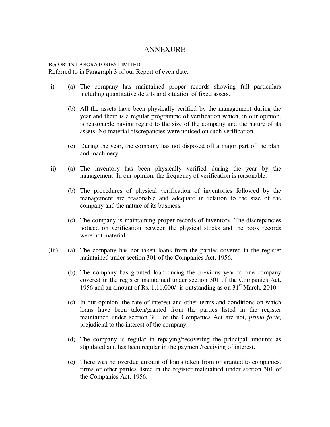# ANNEXURE

#### **Re:** ORTIN LABORATORIES LIMITED Referred to in Paragraph 3 of our Report of even date.

- (i) (a) The company has maintained proper records showing full particulars including quantitative details and situation of fixed assets.
	- (b) All the assets have been physically verified by the management during the year and there is a regular programme of verification which, in our opinion, is reasonable having regard to the size of the company and the nature of its assets. No material discrepancies were noticed on such verification.
	- (c) During the year, the company has not disposed off a major part of the plant and machinery.
- (ii) (a) The inventory has been physically verified during the year by the management. In our opinion, the frequency of verification is reasonable.
	- (b) The procedures of physical verification of inventories followed by the management are reasonable and adequate in relation to the size of the company and the nature of its business.
	- (c) The company is maintaining proper records of inventory. The discrepancies noticed on verification between the physical stocks and the book records were not material.
- (iii) (a) The company has not taken loans from the parties covered in the register maintained under section 301 of the Companies Act, 1956.
	- (b) The company has granted loan during the previous year to one company covered in the register maintained under section 301 of the Companies Act, 1956 and an amount of Rs. 1,11,000/- is outstanding as on  $31<sup>st</sup>$  March, 2010.
	- (c) In our opinion, the rate of interest and other terms and conditions on which loans have been taken/granted from the parties listed in the register maintained under section 301 of the Companies Act are not, *prima facie*, prejudicial to the interest of the company.
	- (d) The company is regular in repaying/recovering the principal amounts as stipulated and has been regular in the payment/receiving of interest.
	- (e) There was no overdue amount of loans taken from or granted to companies, firms or other parties listed in the register maintained under section 301 of the Companies Act, 1956.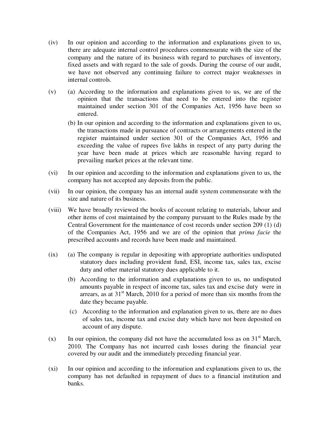- (iv) In our opinion and according to the information and explanations given to us, there are adequate internal control procedures commensurate with the size of the company and the nature of its business with regard to purchases of inventory, fixed assets and with regard to the sale of goods. During the course of our audit, we have not observed any continuing failure to correct major weaknesses in internal controls.
- (v) (a) According to the information and explanations given to us, we are of the opinion that the transactions that need to be entered into the register maintained under section 301 of the Companies Act, 1956 have been so entered.
	- (b) In our opinion and according to the information and explanations given to us, the transactions made in pursuance of contracts or arrangements entered in the register maintained under section 301 of the Companies Act, 1956 and exceeding the value of rupees five lakhs in respect of any party during the year have been made at prices which are reasonable having regard to prevailing market prices at the relevant time.
- (vi) In our opinion and according to the information and explanations given to us, the company has not accepted any deposits from the public.
- (vii) In our opinion, the company has an internal audit system commensurate with the size and nature of its business.
- (viii) We have broadly reviewed the books of account relating to materials, labour and other items of cost maintained by the company pursuant to the Rules made by the Central Government for the maintenance of cost records under section 209 (1) (d) of the Companies Act, 1956 and we are of the opinion that *prima facie* the prescribed accounts and records have been made and maintained.
- (ix) (a) The company is regular in depositing with appropriate authorities undisputed statutory dues including provident fund, ESI, income tax, sales tax, excise duty and other material statutory dues applicable to it.
	- (b) According to the information and explanations given to us, no undisputed amounts payable in respect of income tax, sales tax and excise duty were in arrears, as at  $31<sup>st</sup>$  March, 2010 for a period of more than six months from the date they became payable.
	- (c) According to the information and explanation given to us, there are no dues of sales tax, income tax and excise duty which have not been deposited on account of any dispute.
- (x) In our opinion, the company did not have the accumulated loss as on  $31<sup>st</sup>$  March, 2010. The Company has not incurred cash losses during the financial year covered by our audit and the immediately preceding financial year.
- (xi) In our opinion and according to the information and explanations given to us, the company has not defaulted in repayment of dues to a financial institution and banks.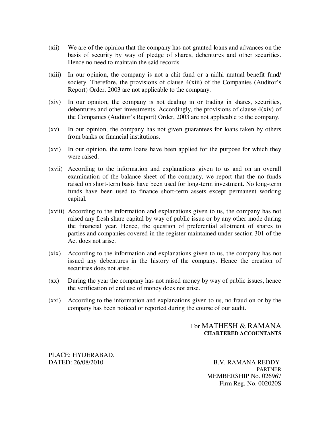- (xii) We are of the opinion that the company has not granted loans and advances on the basis of security by way of pledge of shares, debentures and other securities. Hence no need to maintain the said records.
- (xiii) In our opinion, the company is not a chit fund or a nidhi mutual benefit fund/ society. Therefore, the provisions of clause 4(xiii) of the Companies (Auditor's Report) Order, 2003 are not applicable to the company.
- (xiv) In our opinion, the company is not dealing in or trading in shares, securities, debentures and other investments. Accordingly, the provisions of clause 4(xiv) of the Companies (Auditor's Report) Order, 2003 are not applicable to the company.
- (xv) In our opinion, the company has not given guarantees for loans taken by others from banks or financial institutions.
- (xvi) In our opinion, the term loans have been applied for the purpose for which they were raised.
- (xvii) According to the information and explanations given to us and on an overall examination of the balance sheet of the company, we report that the no funds raised on short-term basis have been used for long-term investment. No long-term funds have been used to finance short-term assets except permanent working capital.
- (xviii) According to the information and explanations given to us, the company has not raised any fresh share capital by way of public issue or by any other mode during the financial year. Hence, the question of preferential allotment of shares to parties and companies covered in the register maintained under section 301 of the Act does not arise.
- (xix) According to the information and explanations given to us, the company has not issued any debentures in the history of the company. Hence the creation of securities does not arise.
- (xx) During the year the company has not raised money by way of public issues, hence the verification of end use of money does not arise.
- (xxi) According to the information and explanations given to us, no fraud on or by the company has been noticed or reported during the course of our audit.

# For MATHESH & RAMANA **CHARTERED ACCOUNTANTS**

PLACE: HYDERABAD.

DATED: 26/08/2010 B.V. RAMANA REDDY PARTNER MEMBERSHIP No. 026967 Firm Reg. No. 002020S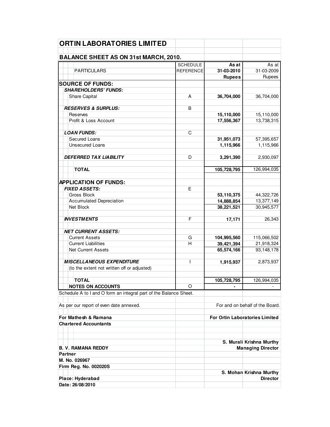| <b>ORTIN LABORATORIES LIMITED</b>                                 |                  |                                       |                                            |
|-------------------------------------------------------------------|------------------|---------------------------------------|--------------------------------------------|
| <b>BALANCE SHEET AS ON 31st MARCH, 2010.</b>                      |                  |                                       |                                            |
|                                                                   | <b>SCHEDULE</b>  | As at                                 | As at                                      |
| <b>PARTICULARS</b>                                                | <b>REFERENCE</b> | 31-03-2010                            | 31-03-2009                                 |
|                                                                   |                  | <b>Rupees</b>                         | Rupees                                     |
| <b>SOURCE OF FUNDS:</b>                                           |                  |                                       |                                            |
| <b>SHAREHOLDERS' FUNDS:</b>                                       |                  |                                       |                                            |
| Share Capital                                                     | A                | 36,704,000                            | 36,704,000                                 |
| <b>RESERVES &amp; SURPLUS:</b>                                    | B                |                                       |                                            |
| Reserves                                                          |                  | 15,110,000                            | 15,110,000                                 |
| Profit & Loss Account                                             |                  | 17,556,367                            | 13,738,315                                 |
|                                                                   |                  |                                       |                                            |
| <b>LOAN FUNDS:</b>                                                | C                |                                       |                                            |
| Secured Loans                                                     |                  | 31,951,073                            | 57,395,657                                 |
| <b>Unsecured Loans</b>                                            |                  | 1,115,966                             | 1,115,966                                  |
| <b>DEFERRED TAX LIABILITY</b>                                     | D                |                                       |                                            |
|                                                                   |                  | 3,291,390                             | 2,930,097                                  |
| <b>TOTAL</b>                                                      |                  | 105,728,795                           | 126,994,035                                |
| <b>APPLICATION OF FUNDS:</b>                                      |                  |                                       |                                            |
| <b>FIXED ASSETS:</b>                                              | E                |                                       |                                            |
| Gross Block                                                       |                  | 53,110,375                            | 44,322,726                                 |
|                                                                   |                  |                                       | 13,377,149                                 |
| <b>Accumulated Depreciation</b><br>Net Block                      |                  | 14,888,854                            | 30,945,577                                 |
|                                                                   |                  | 38,221,521                            |                                            |
| <b>INVESTMENTS</b>                                                | F                | 17,171                                | 26,343                                     |
| <b>NET CURRENT ASSETS:</b>                                        |                  |                                       |                                            |
| <b>Current Assets</b>                                             | G                | 104,995,560                           | 115,066,502                                |
| <b>Current Liabilities</b>                                        | н                | 39,421,394                            | 21,918,324                                 |
| <b>Net Current Assets</b>                                         |                  | 65,574,166                            | 93,148,178                                 |
| <b>MISCELLANEOUS EXPENDITURE</b>                                  | T                | 1,915,937                             | 2,873,937                                  |
| (to the extent not written off or adjusted)                       |                  |                                       |                                            |
| <b>TOTAL</b>                                                      |                  | 105,728,795                           | 126,994,035                                |
| <b>NOTES ON ACCOUNTS</b>                                          | O                |                                       |                                            |
| Schedule A to I and O form an integral part of the Balance Sheet. |                  |                                       |                                            |
|                                                                   |                  |                                       |                                            |
| As per our report of even date annexed.                           |                  | For and on behalf of the Board.       |                                            |
| For Mathesh & Ramana                                              |                  | <b>For Ortin Laboratories Limited</b> |                                            |
| <b>Chartered Accountants</b>                                      |                  |                                       |                                            |
|                                                                   |                  |                                       | S. Murali Krishna Murthy                   |
| <b>B. V. RAMANA REDDY</b>                                         |                  |                                       | <b>Managing Director</b>                   |
| <b>Partner</b>                                                    |                  |                                       |                                            |
| M. No. 026967                                                     |                  |                                       |                                            |
| Firm Reg. No. 002020S                                             |                  |                                       |                                            |
| Place: Hyderabad                                                  |                  |                                       | S. Mohan Krishna Murthy<br><b>Director</b> |
| Date: 26/08/2010                                                  |                  |                                       |                                            |
|                                                                   |                  |                                       |                                            |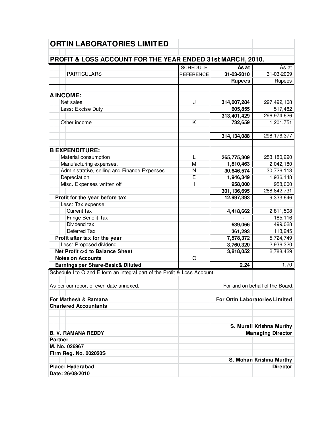| <b>ORTIN LABORATORIES LIMITED</b>                                         |                  |               |                                       |
|---------------------------------------------------------------------------|------------------|---------------|---------------------------------------|
|                                                                           |                  |               |                                       |
| PROFIT & LOSS ACCOUNT FOR THE YEAR ENDED 31st MARCH, 2010.                | <b>SCHEDULE</b>  | As at         | As <sub>at</sub>                      |
| <b>PARTICULARS</b>                                                        | <b>REFERENCE</b> | 31-03-2010    | 31-03-2009                            |
|                                                                           |                  |               | Rupees                                |
|                                                                           |                  | <b>Rupees</b> |                                       |
| <b>AINCOME:</b>                                                           |                  |               |                                       |
| Net sales                                                                 | J                | 314,007,284   | 297,492,108                           |
|                                                                           |                  | 605,855       |                                       |
| Less: Excise Duty                                                         |                  |               | 517,482<br>296,974,626                |
| Other income                                                              | K                | 313,401,429   |                                       |
|                                                                           |                  | 732,659       | 1,201,751                             |
|                                                                           |                  |               | 298, 176, 377                         |
|                                                                           |                  | 314,134,088   |                                       |
| <b>BEXPENDITURE:</b>                                                      |                  |               |                                       |
|                                                                           |                  |               |                                       |
| Material consumption                                                      | L                | 265,775,309   | 253,180,290                           |
| Manufacturing expenses.                                                   | M                | 1,810,463     | 2,042,180                             |
| Administrative, selling and Finance Expenses                              | N                | 30,646,574    | 30,726,113                            |
| Depreciation                                                              | E                | 1,946,349     | 1,936,148                             |
| Misc. Expenses written off                                                | I                | 958,000       | 958,000                               |
|                                                                           |                  | 301,136,695   | 288,842,731                           |
| Profit for the year before tax                                            |                  | 12,997,393    | 9,333,646                             |
| Less: Tax expense:                                                        |                  |               |                                       |
| Current tax                                                               |                  | 4,418,662     | 2,811,508                             |
| Fringe Benefit Tax                                                        |                  |               | 185,116                               |
| Dividend tax                                                              |                  | 639,066       | 499,028                               |
| Deferred Tax                                                              |                  | 361,293       | 113,245                               |
| Profit after tax for the year                                             |                  | 7,578,372     | 5,724,749                             |
| Less: Proposed dividend                                                   |                  | 3,760,320     | 2,936,320                             |
| Net Profit c/d to Balance Sheet                                           |                  | 3,818,052     | 2,788,429                             |
| <b>Notes on Accounts</b>                                                  | $\circ$          |               |                                       |
| Earnings per Share-Basic& Diluted                                         |                  | 2.24          | 1.70                                  |
| Schedule I to O and E form an integral part of the Profit & Loss Account. |                  |               |                                       |
| As per our report of even date annexed.                                   |                  |               | For and on behalf of the Board.       |
|                                                                           |                  |               |                                       |
| For Mathesh & Ramana                                                      |                  |               | <b>For Ortin Laboratories Limited</b> |
| <b>Chartered Accountants</b>                                              |                  |               |                                       |
|                                                                           |                  |               |                                       |
|                                                                           |                  |               |                                       |
|                                                                           |                  |               | S. Murali Krishna Murthy              |
| <b>B. V. RAMANA REDDY</b>                                                 |                  |               | <b>Managing Director</b>              |
| Partner                                                                   |                  |               |                                       |
| M. No. 026967                                                             |                  |               |                                       |
| Firm Reg. No. 002020S                                                     |                  |               |                                       |
|                                                                           |                  |               | S. Mohan Krishna Murthy               |
| Place: Hyderabad                                                          |                  |               | <b>Director</b>                       |
| Date: 26/08/2010                                                          |                  |               |                                       |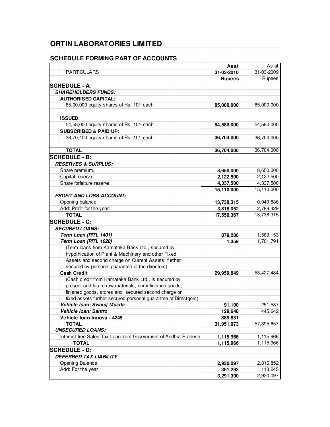| <b>ORTIN LABORATORIES LIMITED</b>                              |               |            |
|----------------------------------------------------------------|---------------|------------|
| <b>SCHEDULE FORMING PART OF ACCOUNTS</b>                       |               |            |
|                                                                | As at         | As at      |
| <b>PARTICULARS</b>                                             | 31-03-2010    | 31-03-2009 |
|                                                                | <b>Rupees</b> | Rupees     |
| <b>SCHEDULE - A:</b>                                           |               |            |
| <b>SHAREHOLDERS FUNDS:</b>                                     |               |            |
| <b>AUTHORISED CAPITAL:</b>                                     |               |            |
| 85,00,000 equity shares of Rs. 10/- each.                      | 85,000,000    | 85,000,000 |
|                                                                |               |            |
| <b>ISSUED:</b>                                                 |               |            |
| 54,58,000 equity shares of Rs. 10/- each.                      | 54,580,000    | 54,580,000 |
| <b>SUBSCRIBED &amp; PAID UP:</b>                               |               |            |
| 36,70,400 equity shares of Rs. 10/- each.                      | 36,704,000    | 36,704,000 |
|                                                                |               |            |
| <b>TOTAL</b>                                                   | 36,704,000    | 36,704,000 |
| <b>SCHEDULE - B:</b>                                           |               |            |
| <b>RESERVES &amp; SURPLUS:</b>                                 |               |            |
| Share premium.                                                 | 8,650,000     | 8,650,000  |
| Capital reserve.                                               | 2,122,500     | 2,122,500  |
| Share forfeiture reserve.                                      | 4,337,500     | 4,337,500  |
|                                                                | 15,110,000    | 15,110,000 |
| <b>PROFIT AND LOSS ACCOUNT:</b>                                |               |            |
| Opening balance.                                               | 13,738,315    | 10,949,886 |
| Add: Profit for the year.                                      | 3,818,052     | 2,788,429  |
| <b>TOTAL</b>                                                   | 17,556,367    | 13,738,315 |
| <b>SCHEDULE - C:</b>                                           |               |            |
| <b>SECURED LOANS:</b>                                          |               |            |
| Term Loan (PITL 1401)                                          | 879,286       | 1,569,153  |
| Term Loan (PITL 1020)                                          | 1,359         | 1,701,791  |
| (Term loans from Karnataka Bank Ltd., secured by               |               |            |
| hypothication of Plant & Machinery and other Fixed             |               |            |
| Assets and second charge on Current Assets, further            |               |            |
| secured by personal guarantee of the directors)                |               |            |
| <b>Cash Credit</b>                                             | 29,959,849    | 53,427,484 |
| (Cash credit from Karnataka Bank Ltd., is secured by           |               |            |
| present and future raw materials, semi-finished goods,         |               |            |
| finished goods, stores and secured second charge on            |               |            |
| fixed assets further secured personal guarantee of Directgors) |               |            |
| Vehicle Ioan: Swaraj Mazda                                     | 91,100        | 251,587    |
| Vehicle Ioan: Santro                                           | 129,648       | 445,642    |
| Vehicle Ioan-Innova - 4245                                     | 889,831       |            |
| <b>TOTAL</b>                                                   | 31,951,073    | 57,395,657 |
| <b>UNSECURED LOANS:</b>                                        |               |            |
| Interest free Sales Tax Loan from Government of Andhra Pradesh | 1,115,966     | 1,115,966  |
| <b>TOTAL</b>                                                   | 1,115,966     | 1,115,966  |
| <b>SCHEDULE - D:</b>                                           |               |            |
| <b>DEFERRED TAX LIABILITY</b>                                  |               |            |
| Opening Balance                                                | 2,930,097     | 2,816,852  |
| Add: For the year                                              | 361,293       | 113,245    |
|                                                                | 3,291,390     | 2,930,097  |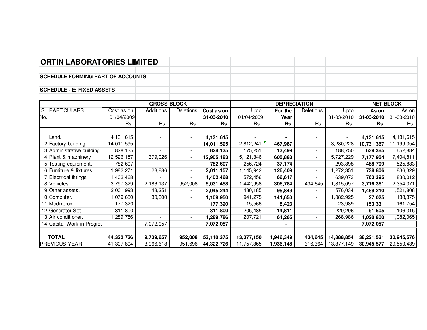# **ORTIN LABORATORIES LIMITED**

## **SCHEDULE FORMING PART OF ACCOUNTS**

#### **SCHEDULE - E: FIXED ASSETS**

|     |                            | <b>GROSS BLOCK</b> |                          |                          |            | <b>DEPRECIATION</b> |           |                          |                          | <b>NET BLOCK</b> |            |
|-----|----------------------------|--------------------|--------------------------|--------------------------|------------|---------------------|-----------|--------------------------|--------------------------|------------------|------------|
| S.  | <b>PARTICULARS</b>         | Cost as on         | Additions                | Deletions                | Cost as on | Upto                | For the   | Deletions                | Upto                     | As on            | As on      |
| No. |                            | 01/04/2009         |                          |                          | 31-03-2010 | 01/04/2009          | Year      |                          | 31-03-2010               | 31-03-2010       | 31-03-2010 |
|     |                            | Rs.                | Rs.                      | Rs.                      | Rs.        | Rs.                 | Rs.       | Rs.                      | Rs.                      | Rs.              | Rs.        |
|     |                            |                    |                          |                          |            |                     |           |                          |                          |                  |            |
|     | Land.                      | 4,131,615          | $\sim$                   | $\sim$                   | 4,131,615  |                     |           | $\sim$                   | $\overline{\phantom{a}}$ | 4,131,615        | 4,131,615  |
|     | 2 Factory building.        | 14,011,595         | $\sim$                   | $\blacksquare$           | 14,011,595 | 2,812,241           | 467,987   | $\sim$                   | 3,280,228                | 10,731,367       | 11,199,354 |
|     | 3 Administrative building. | 828,135            |                          | $\overline{\phantom{a}}$ | 828,135    | 175,251             | 13,499    | $\sim$                   | 188,750                  | 639,385          | 652,884    |
|     | 4 Plant & machinery        | 12,526,157         | 379,026                  | $\blacksquare$           | 12,905,183 | 5,121,346           | 605,883   | $\sim$                   | 5,727,229                | 7,177,954        | 7,404,811  |
|     | 5 Testing equipment.       | 782,607            |                          | $\sim$                   | 782,607    | 256,724             | 37,174    | $\sim$                   | 293,898                  | 488,709          | 525,883    |
|     | 6 Furniture & fixtures.    | 1,982,271          | 28,886                   | $\blacksquare$           | 2,011,157  | 1,145,942           | 126,409   |                          | 1,272,351                | 738,806          | 836,329    |
|     | 7 Electrical fittings      | ,402,468           |                          | $\blacksquare$           | 1,402,468  | 572,456             | 66,617    | $\overline{\phantom{a}}$ | 639,073                  | 763,395          | 830,012    |
|     | 8 Vehicles.                | 3,797,329          | 2,186,137                | 952,008                  | 5,031,458  | 1,442,958           | 306,784   | 434,645                  | 1,315,097                | 3,716,361        | 2,354,371  |
|     | 9Other assets.             | 2,001,993          | 43,251                   | $\sim$                   | 2,045,244  | 480,185             | 95,849    | $\overline{\phantom{a}}$ | 576,034                  | 1,469,210        | 1,521,808  |
|     | 10 Computer.               | 1,079,650          | 30,300                   | $\sim$                   | 1,109,950  | 941,275             | 141,650   | $\sim$                   | ,082,925                 | 27,025           | 138,375    |
|     | 11 Modixerox.              | 177,320            |                          | $\overline{\phantom{0}}$ | 177,320    | 15,566              | 8,423     | $\sim$                   | 23,989                   | 153,331          | 161,754    |
|     | 12 Generator Set           | 311,800            | $\overline{\phantom{a}}$ | ۰.                       | 311,800    | 205,485             | 14,811    | $\sim$                   | 220,296                  | 91,505           | 106,315    |
|     | 13 Air conditioner.        | 1,289,786          |                          | $\overline{\phantom{a}}$ | 1,289,786  | 207,721             | 61,265    | $\overline{\phantom{0}}$ | 268,986                  | 1,020,800        | 1,082,065  |
|     | 14 Capital Work in Progres |                    | 7,072,057                | $\overline{\phantom{a}}$ | 7,072,057  |                     |           |                          |                          | 7,072,057        |            |
|     |                            |                    |                          |                          |            |                     |           |                          |                          |                  |            |
|     | <b>TOTAL</b>               | 44,322,726         | 9,739,657                | 952,008                  | 53,110,375 | 13,377,150          | 1,946,349 | 434,645                  | 14,888,854               | 38,221,521       | 30,945,576 |
|     | <b>PREVIOUS YEAR</b>       | 41,307,804         | 3,966,618                | 951,696                  | 44,322,726 | 11,757,365          | 1,936,148 | 316,364                  | 13,377,149               | 30,945,577       | 29,550,439 |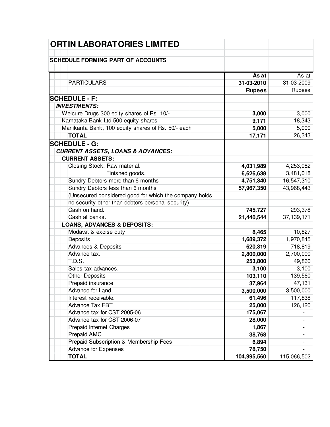| <b>ORTIN LABORATORIES LIMITED</b>                      |                 |              |
|--------------------------------------------------------|-----------------|--------------|
|                                                        |                 |              |
| <b>SCHEDULE FORMING PART OF ACCOUNTS</b>               |                 |              |
|                                                        | <b>As at</b>    | As at        |
| <b>PARTICULARS</b>                                     | 31-03-2010      | 31-03-2009   |
|                                                        | <b>Rupees</b>   | Rupees       |
| <b>SCHEDULE - F:</b>                                   |                 |              |
| <b>INVESTMENTS:</b>                                    |                 |              |
| Welcure Drugs 300 eqity shares of Rs. 10/-             | 3,000           | 3,000        |
| Karnataka Bank Ltd 500 equity shares                   | 9,171           | 18,343       |
| Manikanta Bank, 100 equity shares of Rs. 50/- each     |                 | 5,000        |
| <b>TOTAL</b>                                           | 5,000<br>17,171 | 26,343       |
|                                                        |                 |              |
| <b>SCHEDULE - G:</b>                                   |                 |              |
| <b>CURRENT ASSETS, LOANS &amp; ADVANCES:</b>           |                 |              |
| <b>CURRENT ASSETS:</b>                                 |                 |              |
| Closing Stock: Raw material.                           | 4,031,989       | 4,253,082    |
| Finished goods.                                        | 6,626,638       | 3,481,018    |
| Sundry Debtors more than 6 months                      | 4,751,340       | 16,547,310   |
| Sundry Debtors less than 6 months                      | 57,967,350      | 43,968,443   |
| (Unsecured considered good for which the company holds |                 |              |
| no security other than debtors personal security)      |                 |              |
| Cash on hand.                                          | 745,727         | 293,378      |
| Cash at banks.                                         | 21,440,544      | 37, 139, 171 |
| <b>LOANS, ADVANCES &amp; DEPOSITS:</b>                 |                 |              |
| Modavat & excise duty                                  | 8,465           | 10,827       |
| Deposits                                               | 1,689,372       | 1,970,845    |
| <b>Advances &amp; Deposits</b>                         | 620,319         | 718,819      |
| Advance tax.                                           | 2,800,000       | 2,700,000    |
| <b>T.D.S.</b>                                          | 253,800         | 49,860       |
| Sales tax advances.                                    | 3,100           | 3,100        |
| <b>Other Deposits</b>                                  | 103,110         | 139,560      |
| Prepaid insurance                                      | 37,964          | 47,131       |
| Advance for Land                                       | 3,500,000       | 3,500,000    |
| Interest receivable.                                   | 61,496          | 117,838      |
| Advance Tax FBT                                        | 25,000          | 126,120      |
| Advance tax for CST 2005-06                            | 175,067         |              |
| Advance tax for CST 2006-07                            | 28,000          |              |
| Prepaid Internet Charges                               | 1,867           |              |
| Prepaid AMC                                            | 38,768          |              |
| Prepaid Subscription & Membership Fees                 | 6,894           |              |
| Advance for Expenses                                   | 78,750          |              |
| <b>TOTAL</b>                                           | 104,995,560     | 115,066,502  |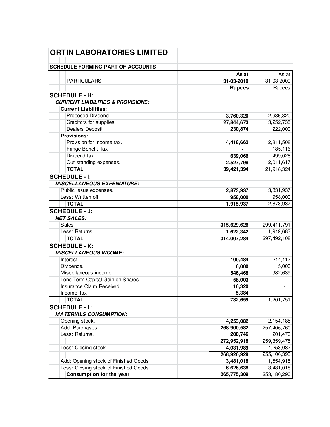| <b>ORTIN LABORATORIES LIMITED</b>                |                         |                    |
|--------------------------------------------------|-------------------------|--------------------|
| <b>SCHEDULE FORMING PART OF ACCOUNTS</b>         |                         |                    |
|                                                  | As at                   | $\overline{As}$ at |
| <b>PARTICULARS</b>                               | 31-03-2010              | 31-03-2009         |
|                                                  |                         | Rupees             |
|                                                  | <b>Rupees</b>           |                    |
| <b>SCHEDULE - H:</b>                             |                         |                    |
| <b>CURRENT LIABILITIES &amp; PROVISIONS:</b>     |                         |                    |
| <b>Current Liabilities:</b><br>Proposed Dividend |                         | 2,936,320          |
| Creditors for supplies.                          | 3,760,320<br>27,844,673 | 13,252,735         |
| Dealers Deposit                                  | 230,874                 | 222,000            |
| <b>Provisions:</b>                               |                         |                    |
| Provision for income tax.                        | 4,418,662               | 2,811,508          |
| Fringe Benefit Tax                               |                         | 185,116            |
| Dividend tax                                     | 639,066                 | 499,028            |
| Out standing expenses.                           | 2,527,798               | 2,011,617          |
| <b>TOTAL</b>                                     | 39,421,394              | 21,918,324         |
| <b>SCHEDULE - I:</b>                             |                         |                    |
| <b>MISCELLANEOUS EXPENDITURE:</b>                |                         |                    |
| Public issue expenses.                           | 2,873,937               | 3,831,937          |
| Less: Written off                                | 958,000                 | 958,000            |
| <b>TOTAL</b>                                     | 1,915,937               | 2,873,937          |
| <b>SCHEDULE - J:</b>                             |                         |                    |
| <b>NET SALES:</b>                                |                         |                    |
| Sales                                            | 315,629,626             | 299,411,791        |
| Less: Returns.                                   | 1,622,342               | 1,919,683          |
| <b>TOTAL</b>                                     | 314,007,284             | 297,492,108        |
| <b>SCHEDULE - K:</b>                             |                         |                    |
| <b>MISCELLANEOUS INCOME:</b>                     |                         |                    |
| Interest.                                        | 100,484                 | 214,112            |
| Dividends.                                       | 6,000                   | 5,000              |
| Miscellaneous income.                            | 546,468                 | 982,639            |
| Long Term Capital Gain on Shares                 | 58,003                  |                    |
| Insurance Claim Received                         | 16,320                  |                    |
| Income Tax                                       | 5,384                   |                    |
| <b>TOTAL</b>                                     | 732,659                 | 1,201,751          |
| <b>SCHEDULE - L:</b>                             |                         |                    |
| <b>MATERIALS CONSUMPTION:</b>                    |                         |                    |
| Opening stock.                                   | 4,253,082               | 2,154,185          |
| Add: Purchases.                                  | 268,900,582             | 257,406,760        |
| Less: Returns.                                   | 200,746                 | 201,470            |
|                                                  | 272,952,918             | 259,359,475        |
| Less: Closing stock.                             | 4,031,989               | 4,253,082          |
|                                                  | 268,920,929             | 255,106,393        |
| Add: Opening stock of Finished Goods             | 3,481,018               | 1,554,915          |
| Less: Closing stock.of Finished Goods            | 6,626,638               | 3,481,018          |
| Consumption for the year                         | 265,775,309             | 253,180,290        |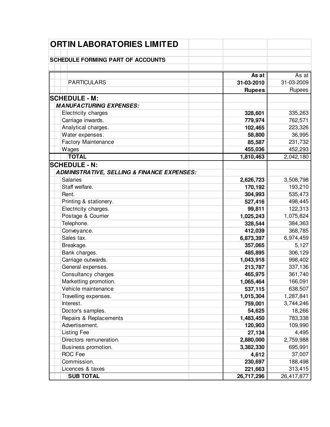| <b>ORTIN LABORATORIES LIMITED</b>                      |               |            |
|--------------------------------------------------------|---------------|------------|
|                                                        |               |            |
| <b>SCHEDULE FORMING PART OF ACCOUNTS</b>               |               |            |
|                                                        |               |            |
|                                                        | As at         | As at      |
| <b>PARTICULARS</b>                                     | 31-03-2010    | 31-03-2009 |
|                                                        | <b>Rupees</b> | Rupees     |
| <b>SCHEDULE - M:</b>                                   |               |            |
| <b>MANUFACTURING EXPENSES:</b>                         |               |            |
| Electricity charges                                    | 328,601       | 335,263    |
| Carriage inwards.                                      | 779,974       | 762,571    |
| Analytical charges.                                    | 102,465       | 223,326    |
| Water expenses.                                        | 58,800        | 36,995     |
| <b>Factory Maintenance</b>                             | 85,587        | 231,732    |
| Wages                                                  | 455,036       | 452,293    |
| <b>TOTAL</b>                                           | 1,810,463     | 2,042,180  |
| <b>SCHEDULE - N:</b>                                   |               |            |
| <b>ADMINISTRATIVE, SELLING &amp; FINANCE EXPENSES:</b> |               |            |
| <b>Salaries</b>                                        | 2,626,723     | 3,508,798  |
| Staff welfare.                                         | 170,192       | 193,210    |
| Rent.                                                  | 304,993       | 535,473    |
| Printing & stationery.                                 | 527,416       | 498,445    |
| Electricity charges.                                   | 99,811        | 122,313    |
| Postage & Courrier                                     | 1,025,243     | 1,075,824  |
| Telephone.                                             | 328,544       | 384,363    |
| Conveyance.                                            | 412,039       | 368,785    |
| Sales tax.                                             | 6,873,397     | 6,974,459  |
| Breakage.                                              | 357,065       | 5,127      |
| Bank charges.                                          | 485,895       | 306,129    |
| Carriage outwards.                                     | 1,043,918     | 998,402    |
| General expenses.                                      | 213,787       | 337,136    |
| Consultancy charges                                    | 465,975       | 361,740    |
| Marketting promotion.                                  | 1,065,464     | 166,091    |
| Vehicle maintenance                                    | 537,115       | 638,507    |
| Travelling expenses.                                   | 1,015,304     | 1,287,841  |
| Interest.                                              | 759,001       | 3,744,246  |
| Doctor's samples.                                      | 54,625        | 18,266     |
| Repairs & Replacements                                 | 1,483,450     | 783,338    |
| Advertisement.                                         | 120,903       | 109,990    |
| <b>Listing Fee</b>                                     | 27,134        | 4,495      |
| Directors remuneration.                                | 2,880,000     | 2,759,988  |
| Business promotion.                                    | 3,382,330     | 695,991    |
| <b>ROC Fee</b>                                         | 4,612         | 37,007     |
| Commission.                                            | 230,697       | 188,498    |
| Licences & taxes                                       | 221,663       | 313,415    |
| <b>SUB TOTAL</b>                                       | 26,717,296    | 26,417,877 |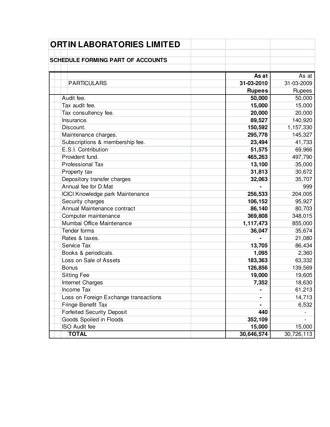| ORTIN LABORATORIES LIMITED               |               |            |
|------------------------------------------|---------------|------------|
| <b>SCHEDULE FORMING PART OF ACCOUNTS</b> |               |            |
|                                          |               |            |
|                                          | As at         | As at      |
| <b>PARTICULARS</b>                       | 31-03-2010    | 31-03-2009 |
|                                          | <b>Rupees</b> | Rupees     |
| Audit fee.                               | 50,000        | 50,000     |
| Tax audit fee.                           | 15,000        | 15,000     |
| Tax consultency fee.                     | 20,000        | 20,000     |
| Insurance.                               | 89,527        | 140,920    |
| Discount.                                | 150,592       | 1,157,330  |
| Maintenance charges.                     | 295,778       | 145,327    |
| Subscriptions & membership fee.          | 23,494        | 41,733     |
| E.S.I. Contribution                      | 51,575        | 69,966     |
| Provident fund.                          | 465,263       | 497,790    |
| Professional Tax                         | 13,100        | 35,000     |
| Property tax                             | 31,813        | 30,672     |
| Depository transfer charges              | 32,063        | 35,707     |
| Annual fee for D.Mat                     |               | 999        |
| ICICI Knowledge park Maintenance         | 256,533       | 204,005    |
| Security charges                         | 106,152       | 95,927     |
| Annual Maintenance contract              | 86,140        | 80,703     |
| Computer maintenance                     | 369,808       | 348,015    |
| Mumbai Office Maintenance                | 1,117,473     | 855,000    |
| Tender forms                             | 36,047        | 35,674     |
| Rates & taxes.                           |               | 21,080     |
| Service Tax                              | 13,705        | 86,434     |
| Books & periodicals.                     | 1,095         | 2,360      |
| Loss on Sale of Assets                   | 183,363       | 63,332     |
| <b>Bonus</b>                             | 126,856       | 139,569    |
| <b>Sitting Fee</b>                       | 19,000        | 19,605     |
| Internet Charges                         | 7,352         | 18,630     |
| Income Tax                               |               | 61,213     |
| Loss on Foreign Exchange transactions    |               | 14,713     |
| Fringe Benefit Tax                       |               | 6,532      |
| <b>Forfeited Security Deposit</b>        | 440           |            |
| Goods Spoiled in Floods                  | 352,109       |            |
| <b>ISO Audit fee</b>                     | 15,000        | 15,000     |
| <b>TOTAL</b>                             | 30,646,574    | 30,726,113 |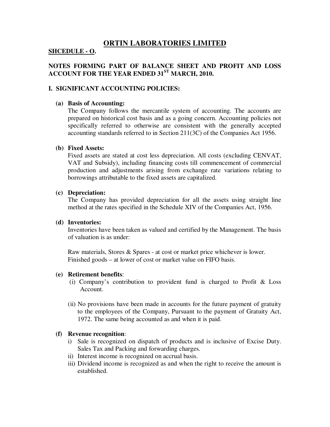# **ORTIN LABORATORIES LIMITED**

# **SHCEDULE - O.**

# **NOTES FORMING PART OF BALANCE SHEET AND PROFIT AND LOSS ACCOUNT FOR THE YEAR ENDED 31ST MARCH, 2010.**

# **I. SIGNIFICANT ACCOUNTING POLICIES:**

#### **(a) Basis of Accounting:**

The Company follows the mercantile system of accounting. The accounts are prepared on historical cost basis and as a going concern. Accounting policies not specifically referred to otherwise are consistent with the generally accepted accounting standards referred to in Section 211(3C) of the Companies Act 1956.

## **(b) Fixed Assets:**

Fixed assets are stated at cost less depreciation. All costs (excluding CENVAT, VAT and Subsidy), including financing costs till commencement of commercial production and adjustments arising from exchange rate variations relating to borrowings attributable to the fixed assets are capitalized.

#### **(c) Depreciation:**

The Company has provided depreciation for all the assets using straight line method at the rates specified in the Schedule XIV of the Companies Act, 1956.

## **(d) Inventories:**

Inventories have been taken as valued and certified by the Management. The basis of valuation is as under:

Raw materials, Stores & Spares - at cost or market price whichever is lower. Finished goods – at lower of cost or market value on FIFO basis.

#### **(e) Retirement benefits**:

- (i) Company's contribution to provident fund is charged to Profit & Loss Account.
- (ii) No provisions have been made in accounts for the future payment of gratuity to the employees of the Company, Pursuant to the payment of Gratuity Act, 1972. The same being accounted as and when it is paid.

# **(f) Revenue recognition**:

- i) Sale is recognized on dispatch of products and is inclusive of Excise Duty. Sales Tax and Packing and forwarding charges.
- ii) Interest income is recognized on accrual basis.
- iii) Dividend income is recognized as and when the right to receive the amount is established.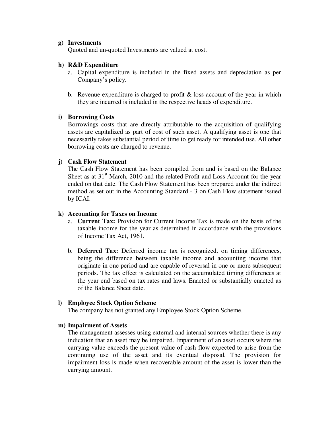# **g) Investments**

Quoted and un-quoted Investments are valued at cost.

## **h) R&D Expenditure**

- a. Capital expenditure is included in the fixed assets and depreciation as per Company's policy.
- b. Revenue expenditure is charged to profit  $\&$  loss account of the year in which they are incurred is included in the respective heads of expenditure.

## **i) Borrowing Costs**

Borrowings costs that are directly attributable to the acquisition of qualifying assets are capitalized as part of cost of such asset. A qualifying asset is one that necessarily takes substantial period of time to get ready for intended use. All other borrowing costs are charged to revenue.

# **j) Cash Flow Statement**

The Cash Flow Statement has been compiled from and is based on the Balance Sheet as at  $31<sup>st</sup>$  March, 2010 and the related Profit and Loss Account for the year ended on that date. The Cash Flow Statement has been prepared under the indirect method as set out in the Accounting Standard - 3 on Cash Flow statement issued by ICAI.

# **k) Accounting for Taxes on Income**

- a. **Current Tax:** Provision for Current Income Tax is made on the basis of the taxable income for the year as determined in accordance with the provisions of Income Tax Act, 1961.
- b. **Deferred Tax:** Deferred income tax is recognized, on timing differences, being the difference between taxable income and accounting income that originate in one period and are capable of reversal in one or more subsequent periods. The tax effect is calculated on the accumulated timing differences at the year end based on tax rates and laws. Enacted or substantially enacted as of the Balance Sheet date.

#### **l) Employee Stock Option Scheme**

The company has not granted any Employee Stock Option Scheme.

#### **m) Impairment of Assets**

The management assesses using external and internal sources whether there is any indication that an asset may be impaired. Impairment of an asset occurs where the carrying value exceeds the present value of cash flow expected to arise from the continuing use of the asset and its eventual disposal. The provision for impairment loss is made when recoverable amount of the asset is lower than the carrying amount.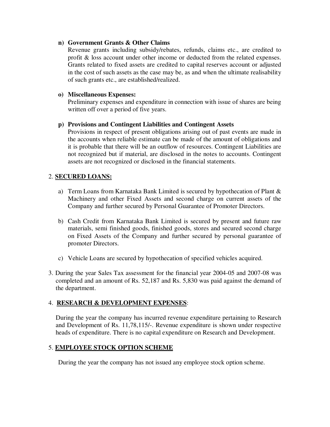# **n) Government Grants & Other Claims**

Revenue grants including subsidy/rebates, refunds, claims etc., are credited to profit & loss account under other income or deducted from the related expenses. Grants related to fixed assets are credited to capital reserves account or adjusted in the cost of such assets as the case may be, as and when the ultimate realisability of such grants etc., are established/realized.

# **o) Miscellaneous Expenses:**

Preliminary expenses and expenditure in connection with issue of shares are being written off over a period of five years.

# **p) Provisions and Contingent Liabilities and Contingent Assets**

Provisions in respect of present obligations arising out of past events are made in the accounts when reliable estimate can be made of the amount of obligations and it is probable that there will be an outflow of resources. Contingent Liabilities are not recognized but if material, are disclosed in the notes to accounts. Contingent assets are not recognized or disclosed in the financial statements.

# 2. **SECURED LOANS:**

- a) Term Loans from Karnataka Bank Limited is secured by hypothecation of Plant & Machinery and other Fixed Assets and second charge on current assets of the Company and further secured by Personal Guarantee of Promoter Directors.
- b) Cash Credit from Karnataka Bank Limited is secured by present and future raw materials, semi finished goods, finished goods, stores and secured second charge on Fixed Assets of the Company and further secured by personal guarantee of promoter Directors.
- c) Vehicle Loans are secured by hypothecation of specified vehicles acquired.
- 3. During the year Sales Tax assessment for the financial year 2004-05 and 2007-08 was completed and an amount of Rs. 52,187 and Rs. 5,830 was paid against the demand of the department.

# 4. **RESEARCH & DEVELOPMENT EXPENSES**:

During the year the company has incurred revenue expenditure pertaining to Research and Development of Rs. 11,78,115/-. Revenue expenditure is shown under respective heads of expenditure. There is no capital expenditure on Research and Development.

# 5. **EMPLOYEE STOCK OPTION SCHEME**

During the year the company has not issued any employee stock option scheme.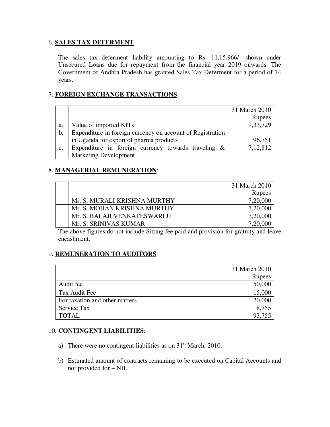# 6. **SALES TAX DEFERMENT**

The sales tax deferment liability amounting to Rs. 11,15,966/- shown under Unsecured Loans due for repayment from the financial year 2019 onwards. The Government of Andhra Pradesh has granted Sales Tax Deferment for a period of 14 years.

# 7. **FOREIGN EXCHANGE TRANSACTIONS**:

|               |                                                            | 31 March 2010 |
|---------------|------------------------------------------------------------|---------------|
|               |                                                            | Rupees        |
| a.            | Value of imported KITs                                     | 9,33,729      |
| $\mathbf b$ . | Expenditure in foreign currency on account of Registration |               |
|               | in Uganda for export of pharma products                    | 96,751        |
| C.            | Expenditure in foreign currency towards traveling $\&$     | 7,12,812      |
|               | <b>Marketing Development</b>                               |               |

# 8. **MANAGERIAL REMUNERATION**:

|                              | 31 March 2010 |
|------------------------------|---------------|
|                              | <b>Rupees</b> |
| Mr. S. MURALI KRISHNA MURTHY | 7,20,000      |
| Mr. S. MOHAN KRISHNA MURTHY  | 7,20,000      |
| Mr. S. BALAJI VENKATESWARLU  | 7,20,000      |
| Mr. S. SRINIVAS KUMAR        |               |

The above figures do not include Sitting fee paid and provision for gratuity and leave encashment.

# 9. **REMUNERATION TO AUDITORS**:

|                                | 31 March 2010 |
|--------------------------------|---------------|
|                                | Rupees        |
| Audit fee                      | 50,000        |
| Tax Audit Fee                  | 15,000        |
| For taxation and other matters | 20,000        |
| Service Tax                    | 8,755         |
| <b>TOTAL</b>                   | 93,755        |

# 10. **CONTINGENT LIABILITIES**:

- a) There were no contingent liabilities as on  $31<sup>st</sup>$  March, 2010.
- b) Estimated amount of contracts remaining to be executed on Capital Accounts and not provided for – NIL.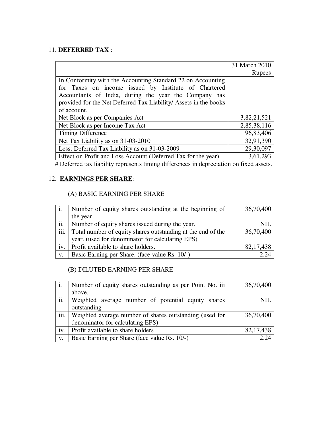# 11. **DEFERRED TAX** :

|                                                                                                                     | 31 March 2010 |
|---------------------------------------------------------------------------------------------------------------------|---------------|
|                                                                                                                     | Rupees        |
| In Conformity with the Accounting Standard 22 on Accounting<br>for Taxes on income issued by Institute of Chartered |               |
| Accountants of India, during the year the Company has                                                               |               |
| provided for the Net Deferred Tax Liability/Assets in the books                                                     |               |
| of account.                                                                                                         |               |
| Net Block as per Companies Act                                                                                      | 3,82,21,521   |
| Net Block as per Income Tax Act                                                                                     | 2,85,38,116   |
| <b>Timing Difference</b>                                                                                            | 96,83,406     |
| Net Tax Liability as on 31-03-2010                                                                                  | 32,91,390     |
| Less: Deferred Tax Liability as on 31-03-2009                                                                       | 29,30,097     |
| Effect on Profit and Loss Account (Deferred Tax for the year)                                                       | 3,61,293      |

# Deferred tax liability represents timing differences in depreciation on fixed assets.

# 12. **EARNINGS PER SHARE**:

# (A) BASIC EARNING PER SHARE

|      | Number of equity shares outstanding at the beginning of     | 36,70,400   |
|------|-------------------------------------------------------------|-------------|
|      | the year.                                                   |             |
| ii.  | Number of equity shares issued during the year.             | NII         |
| iii. | Total number of equity shares outstanding at the end of the | 36,70,400   |
|      | year. (used for denominator for calculating EPS)            |             |
| iv.  | Profit available to share holders.                          | 82, 17, 438 |
| V.   | Basic Earning per Share. (face value Rs. 10/-)              |             |

# (B) DILUTED EARNING PER SHARE

|      | Number of equity shares outstanding as per Point No. iii | 36,70,400   |
|------|----------------------------------------------------------|-------------|
|      | above.                                                   |             |
| ii.  | Weighted average number of potential equity shares       | NIL.        |
|      | outstanding                                              |             |
| iii. | Weighted average number of shares outstanding (used for  | 36,70,400   |
|      | denominator for calculating EPS)                         |             |
| iv.  | Profit available to share holders                        | 82, 17, 438 |
| V.   | Basic Earning per Share (face value Rs. 10/-)            | 2.24        |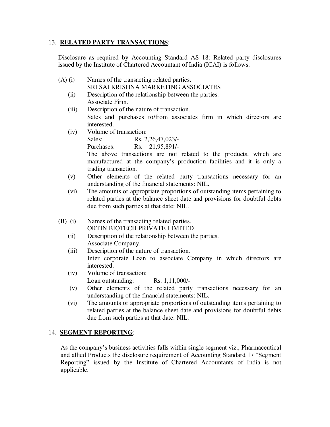# 13. **RELATED PARTY TRANSACTIONS**:

Disclosure as required by Accounting Standard AS 18: Related party disclosures issued by the Institute of Chartered Accountant of India (ICAI) is follows:

- (A) (i) Names of the transacting related parties. SRI SAI KRISHNA MARKETING ASSOCIATES
	- (ii) Description of the relationship between the parties. Associate Firm.
	- (iii) Description of the nature of transaction. Sales and purchases to/from associates firm in which directors are interested.
	- (iv) Volume of transaction: Sales: Rs. 2,26,47,023/-Purchases: Rs. 21,95,891/- The above transactions are not related to the products, which are manufactured at the company's production facilities and it is only a trading transaction.
	- (v) Other elements of the related party transactions necessary for an understanding of the financial statements: NIL.
	- (vi) The amounts or appropriate proportions of outstanding items pertaining to related parties at the balance sheet date and provisions for doubtful debts due from such parties at that date: NIL.
- (B) (i) Names of the transacting related parties. ORTIN BIOTECH PRIVATE LIMITED
	- (ii) Description of the relationship between the parties. Associate Company.
	- (iii) Description of the nature of transaction. Inter corporate Loan to associate Company in which directors are interested.
	- (iv) Volume of transaction: Loan outstanding: Rs. 1,11,000/-
	- (v) Other elements of the related party transactions necessary for an understanding of the financial statements: NIL.
	- (vi) The amounts or appropriate proportions of outstanding items pertaining to related parties at the balance sheet date and provisions for doubtful debts due from such parties at that date: NIL.

# 14. **SEGMENT REPORTING**:

As the company's business activities falls within single segment viz., Pharmaceutical and allied Products the disclosure requirement of Accounting Standard 17 "Segment Reporting" issued by the Institute of Chartered Accountants of India is not applicable.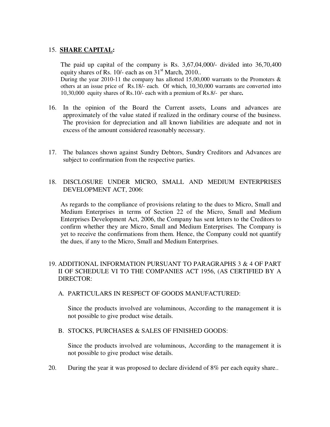# 15. **SHARE CAPITAL:**

The paid up capital of the company is Rs. 3,67,04,000/- divided into 36,70,400 equity shares of Rs.  $10/-$  each as on  $31<sup>st</sup>$  March, 2010.. During the year 2010-11 the company has allotted 15,00,000 warrants to the Promoters  $\&$ others at an issue price of Rs.18/- each. Of which, 10,30,000 warrants are converted into 10,30,000 equity shares of Rs.10/- each with a premium of Rs.8/- per share**.**

- 16. In the opinion of the Board the Current assets, Loans and advances are approximately of the value stated if realized in the ordinary course of the business. The provision for depreciation and all known liabilities are adequate and not in excess of the amount considered reasonably necessary.
- 17. The balances shown against Sundry Debtors, Sundry Creditors and Advances are subject to confirmation from the respective parties.
- 18. DISCLOSURE UNDER MICRO, SMALL AND MEDIUM ENTERPRISES DEVELOPMENT ACT, 2006:

As regards to the compliance of provisions relating to the dues to Micro, Small and Medium Enterprises in terms of Section 22 of the Micro, Small and Medium Enterprises Development Act, 2006, the Company has sent letters to the Creditors to confirm whether they are Micro, Small and Medium Enterprises. The Company is yet to receive the confirmations from them. Hence, the Company could not quantify the dues, if any to the Micro, Small and Medium Enterprises.

# 19. ADDITIONAL INFORMATION PURSUANT TO PARAGRAPHS 3 & 4 OF PART II OF SCHEDULE VI TO THE COMPANIES ACT 1956, (AS CERTIFIED BY A DIRECTOR:

A. PARTICULARS IN RESPECT OF GOODS MANUFACTURED:

Since the products involved are voluminous, According to the management it is not possible to give product wise details.

B. STOCKS, PURCHASES & SALES OF FINISHED GOODS:

Since the products involved are voluminous, According to the management it is not possible to give product wise details.

20. During the year it was proposed to declare dividend of 8% per each equity share..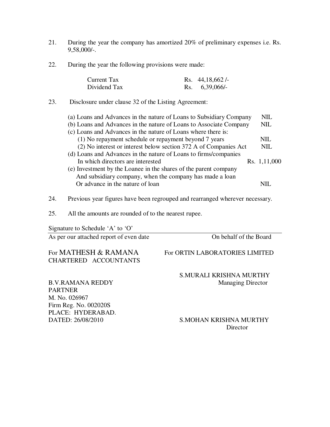- 21. During the year the company has amortized 20% of preliminary expenses i.e. Rs. 9,58,000/-.
- 22. During the year the following provisions were made:

| Current Tax  | Rs. $44,18,662/$ |
|--------------|------------------|
| Dividend Tax | Rs. $6,39,066/$  |

23. Disclosure under clause 32 of the Listing Agreement:

| (a) Loans and Advances in the nature of Loans to Subsidiary Company | NIL          |
|---------------------------------------------------------------------|--------------|
| (b) Loans and Advances in the nature of Loans to Associate Company  | NIL.         |
| (c) Loans and Advances in the nature of Loans where there is:       |              |
| (1) No repayment schedule or repayment beyond 7 years               | NIL.         |
| (2) No interest or interest below section 372 A of Companies Act    | NIL.         |
| (d) Loans and Advances in the nature of Loans to firms/companies    |              |
| In which directors are interested                                   | Rs. 1,11,000 |
| (e) Investment by the Loanee in the shares of the parent company    |              |
| And subsidiary company, when the company has made a loan            |              |
| Or advance in the nature of loan                                    |              |

- 24. Previous year figures have been regrouped and rearranged wherever necessary.
- 25. All the amounts are rounded of to the nearest rupee.

Signature to Schedule 'A' to 'O'

As per our attached report of even date On behalf of the Board

# For MATHESH & RAMANA For ORTIN LABORATORIES LIMITED CHARTERED ACCOUNTANTS

S.MURALI KRISHNA MURTHY

B.V.RAMANA REDDY Managing Director PARTNER M. No. 026967 Firm Reg. No. 002020S PLACE: HYDERABAD.

# DATED: 26/08/2010 S.MOHAN KRISHNA MURTHY **Director**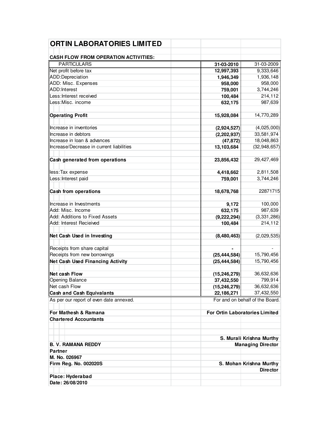| <b>ORTIN LABORATORIES LIMITED</b>                                 |                                       |                          |
|-------------------------------------------------------------------|---------------------------------------|--------------------------|
|                                                                   |                                       |                          |
| <b>CASH FLOW FROM OPERATION ACTIVITIES:</b><br><b>PARTICULARS</b> |                                       |                          |
|                                                                   | 31-03-2010                            | 31-03-2009               |
| Net profit before tax                                             | 12,997,393                            | 9,333,646                |
| ADD:Depreciation<br>ADD: Misc. Expenses                           | 1,946,349                             | 1,936,148                |
| ADD:Interest                                                      | 958,000                               | 958,000                  |
| Less: Interest received                                           | 759,001                               | 3,744,246                |
| Less:Misc. income                                                 | 100,484                               | 214,112                  |
|                                                                   | 632,175                               | 987,639                  |
| <b>Operating Profit</b>                                           | 15,928,084                            | 14,770,289               |
| Increase in inventories                                           | (2,924,527)                           | (4,025,000)              |
| Increase in debtors                                               | (2,202,937)                           | 33,581,974               |
| Increase in Ioan & advances                                       | (47, 872)                             | 18,048,863               |
| Increase/Decrease in current liabilities                          | 13,103,684                            | (32, 948, 657)           |
|                                                                   |                                       |                          |
| Cash generated from operations                                    | 23,856,432                            | 29,427,469               |
| less:Tax expense                                                  | 4,418,662                             | 2,811,508                |
| Less: Interest paid                                               | 759,001                               | 3,744,246                |
|                                                                   |                                       |                          |
| Cash from operations                                              | 18,678,768                            | 22871715                 |
| Increase in Investments                                           | 9,172                                 | 100,000                  |
| Add: Misc. Income                                                 |                                       | 987,639                  |
| Add: Additions to Fixed Assets                                    | 632,175                               |                          |
|                                                                   | (9, 222, 294)                         | (3,331,286)              |
| Add: Interest Recieived                                           | 100,484                               | 214,112                  |
| Net Cash Used in Investing                                        | (8,480,463)                           | (2,029,535)              |
|                                                                   |                                       |                          |
| Receipts from share capital                                       |                                       |                          |
| Receipts from new borrowings                                      | (25, 444, 584)                        | 15,790,456               |
| <b>Net Cash Used Financing Activity</b>                           | (25, 444, 584)                        | 15,790,456               |
| Net cash Flow                                                     | (15, 246, 279)                        | 36,632,636               |
| Opening Balance                                                   | 37,432,550                            | 799,914                  |
| Net cash Flow                                                     | (15, 246, 279)                        | 36,632,636               |
| <b>Cash and Cash Equivalants</b>                                  | 22,186,271                            | 37,432,550               |
| As per our report of even date annexed.                           | For and on behalf of the Board.       |                          |
|                                                                   |                                       |                          |
| For Mathesh & Ramana                                              | <b>For Ortin Laboratories Limited</b> |                          |
| <b>Chartered Accountants</b>                                      |                                       |                          |
|                                                                   |                                       | S. Murali Krishna Murthy |
| <b>B. V. RAMANA REDDY</b>                                         |                                       | <b>Managing Director</b> |
| <b>Partner</b>                                                    |                                       |                          |
| M. No. 026967                                                     |                                       |                          |
| Firm Reg. No. 002020S                                             |                                       | S. Mohan Krishna Murthy  |
|                                                                   |                                       | <b>Director</b>          |
| Place: Hyderabad                                                  |                                       |                          |
| Date: 26/08/2010                                                  |                                       |                          |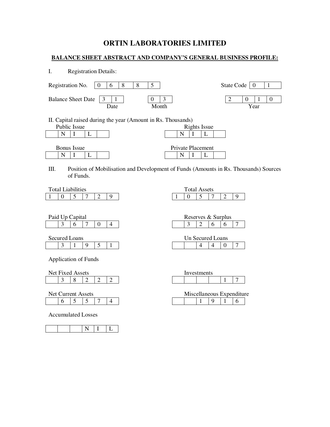# **ORTIN LABORATORIES LIMITED**

# **BALANCE SHEET ABSTRACT AND COMPANY'S GENERAL BUSINESS PROFILE:**

| L.<br><b>Registration Details:</b>                                                     |                                                                                      |
|----------------------------------------------------------------------------------------|--------------------------------------------------------------------------------------|
| 8<br>8<br>5<br>Registration No.<br>6<br>$\theta$                                       | State Code<br>1<br>  O                                                               |
| 3<br><b>Balance Sheet Date</b><br>0<br>Month<br>Date                                   | 3<br>2<br>0<br>$\theta$<br>Year                                                      |
| II. Capital raised during the year (Amount in Rs. Thousands)<br>Public Issue<br>N<br>L | Rights Issue<br>N                                                                    |
| <b>Bonus</b> Issue<br>N<br>L<br>1                                                      | <b>Private Placement</b><br>N<br>L<br>-1                                             |
| Ш.<br>of Funds.                                                                        | Position of Mobilisation and Development of Funds (Amounts in Rs. Thousands) Sources |

|  | <b>Total Liabilities</b> |   |  | Total. | Assets<br>$\overline{ }$ |  |        |
|--|--------------------------|---|--|--------|--------------------------|--|--------|
|  |                          | ∸ |  |        |                          |  | $\sim$ |

| <b>Fotal Assets</b> |  |  |
|---------------------|--|--|
|                     |  |  |

 $3 \t 2 \t 6 \t 6 \t 7$ 

Un Secured Loans  $\begin{array}{|c|c|c|c|c|c|} \hline 4 & 4 & 0 & 7 \\ \hline \end{array}$ 

| Paid Up C | Capital |  |  |  | Reserves & Surplus |  |
|-----------|---------|--|--|--|--------------------|--|
|           |         |  |  |  |                    |  |

| Secured Loans |  |  |
|---------------|--|--|
|               |  |  |

| Application of Funds |  |
|----------------------|--|

|   | Net Fixed Assets |   |  |  | Investments |  |
|---|------------------|---|--|--|-------------|--|
| ັ |                  | ↩ |  |  |             |  |

|  | Net Current Assets |  |  |
|--|--------------------|--|--|
|  |                    |  |  |

Accumulated Losses

|--|

| Investments |  |  |  |  |  |  |  |  |  |
|-------------|--|--|--|--|--|--|--|--|--|
|             |  |  |  |  |  |  |  |  |  |

| Net Current Assets |  |  |  |  |  | Miscellaneous Expenditure |  |  |  |  |  |  |
|--------------------|--|--|--|--|--|---------------------------|--|--|--|--|--|--|
|                    |  |  |  |  |  |                           |  |  |  |  |  |  |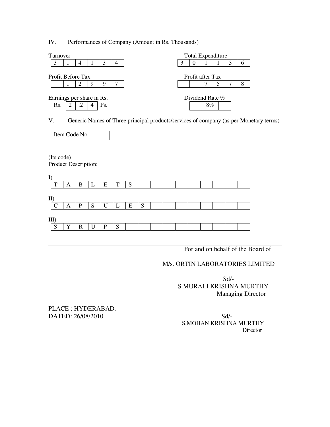IV. Performances of Company (Amount in Rs. Thousands)

| Turnover                  | <b>Total Expenditure</b> |  |  |  |  |  |  |
|---------------------------|--------------------------|--|--|--|--|--|--|
|                           |                          |  |  |  |  |  |  |
|                           |                          |  |  |  |  |  |  |
| Profit Before Tax         | Profit after Tax         |  |  |  |  |  |  |
| Q<br>Q                    |                          |  |  |  |  |  |  |
|                           |                          |  |  |  |  |  |  |
| Earnings per share in Rs. | Dividend Rate %          |  |  |  |  |  |  |
| Rs.<br>$\cdot$ .2<br>Ps.  | 8%                       |  |  |  |  |  |  |
|                           |                          |  |  |  |  |  |  |

V. Generic Names of Three principal products/services of company (as per Monetary terms)

Item Code No.

(Its code) Product Description:

| A | B | L |                                  |   |                                |  |  |  |  |  |
|---|---|---|----------------------------------|---|--------------------------------|--|--|--|--|--|
|   |   |   |                                  |   |                                |  |  |  |  |  |
|   |   |   |                                  |   |                                |  |  |  |  |  |
| A | P | S |                                  | E | <sub>S</sub>                   |  |  |  |  |  |
|   |   |   |                                  |   |                                |  |  |  |  |  |
|   |   |   |                                  |   |                                |  |  |  |  |  |
|   |   |   | $\mathbf C$                      |   |                                |  |  |  |  |  |
|   |   |   | $\mathbf U$<br>$\mathbf{P}$<br>R |   | $E$ $T$ $S$<br>$U \mid L \mid$ |  |  |  |  |  |

For and on behalf of the Board of

# M/s. ORTIN LABORATORIES LIMITED

 Sd/- S.MURALI KRISHNA MURTHY Managing Director

PLACE : HYDERABAD. DATED: 26/08/2010 Sd/-

 S.MOHAN KRISHNA MURTHY Director